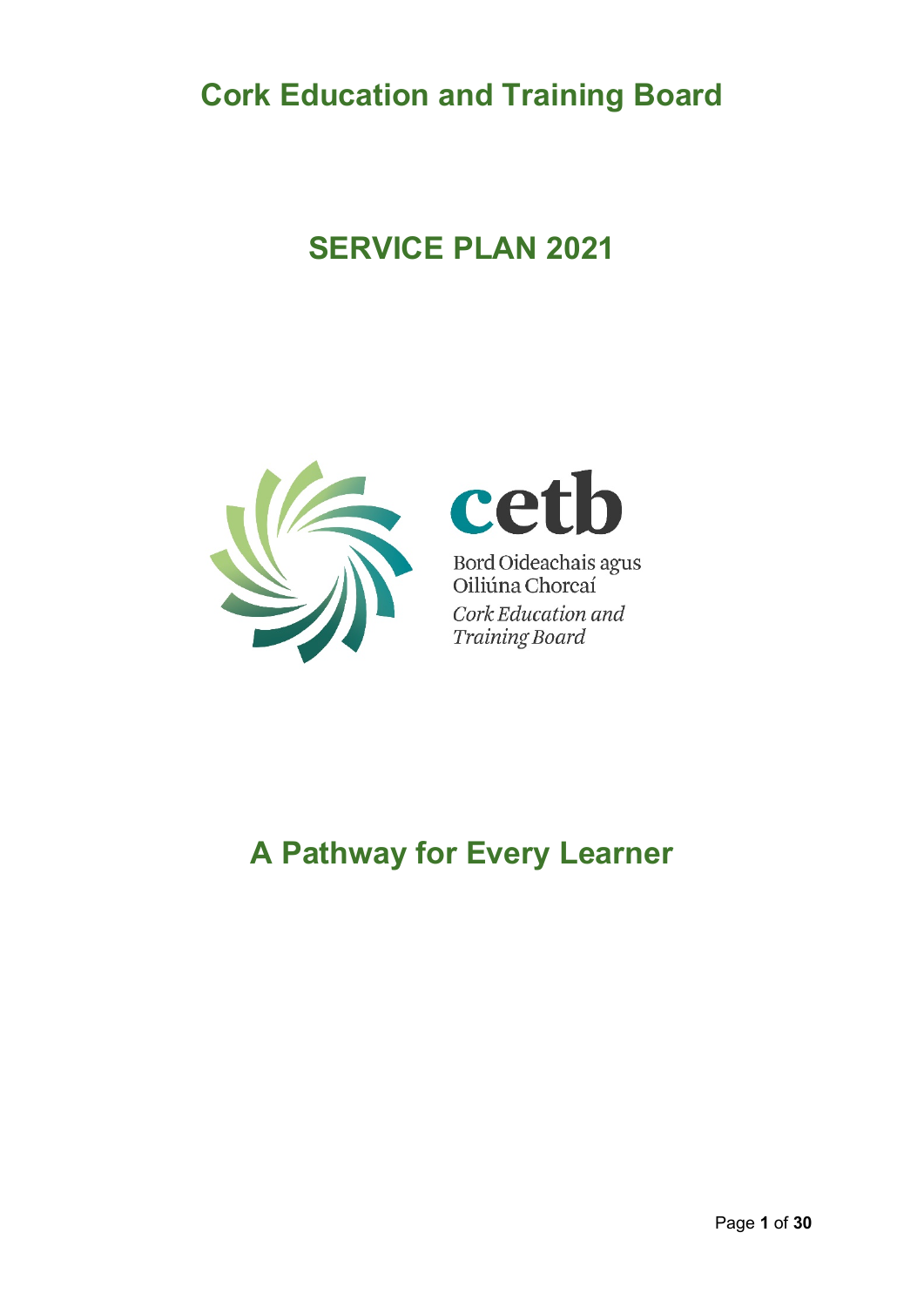**Cork Education and Training Board**

# **SERVICE PLAN 2021**





Bord Oideachais agus<br>Oiliúna Chorcaí Cork Education and **Training Board** 

# **A Pathway for Every Learner**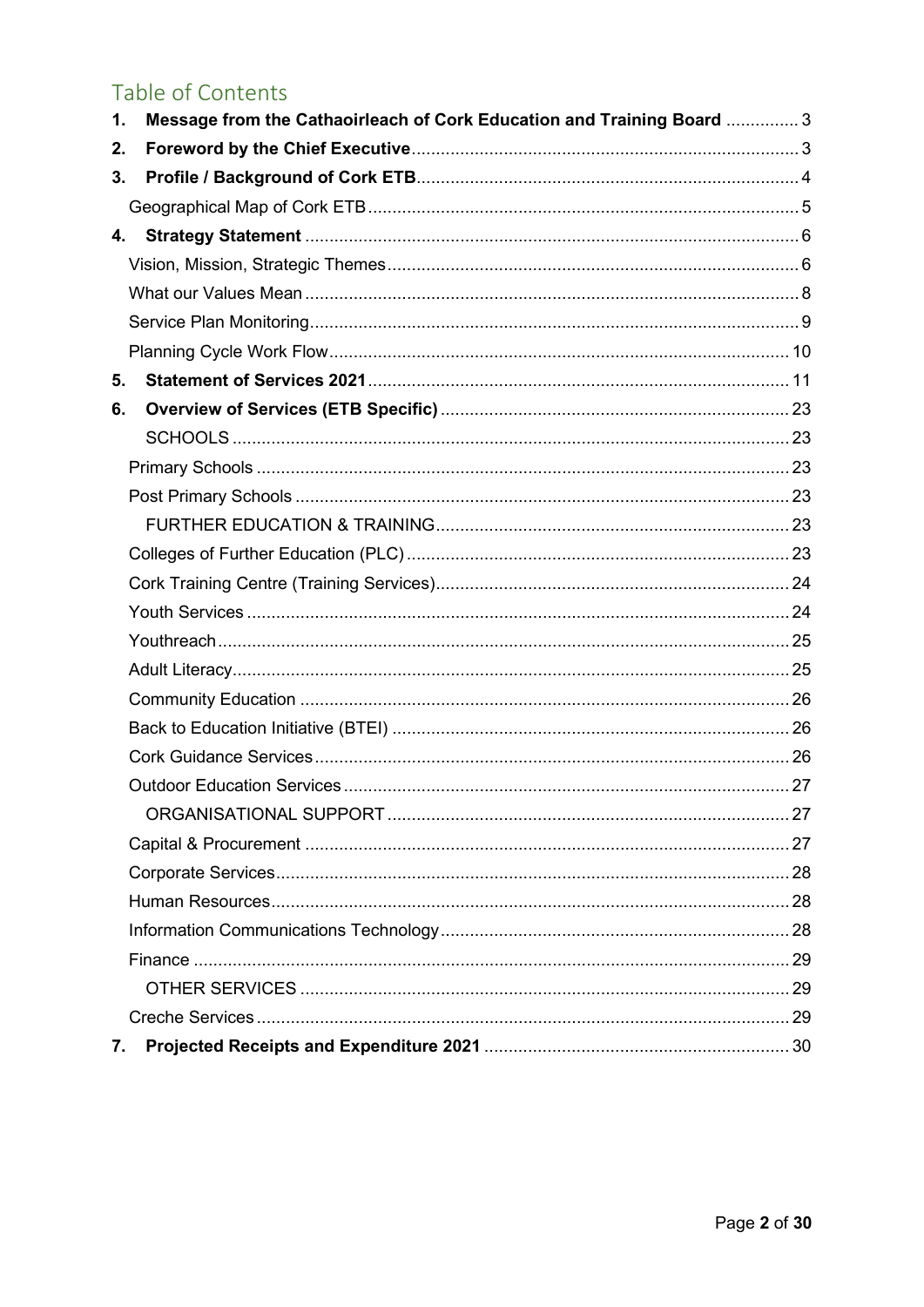# Table of Contents

| Message from the Cathaoirleach of Cork Education and Training Board  3<br>1. |  |
|------------------------------------------------------------------------------|--|
| 2.                                                                           |  |
| 3.                                                                           |  |
|                                                                              |  |
| 4.                                                                           |  |
|                                                                              |  |
|                                                                              |  |
|                                                                              |  |
|                                                                              |  |
| 5.                                                                           |  |
| 6.                                                                           |  |
|                                                                              |  |
|                                                                              |  |
|                                                                              |  |
|                                                                              |  |
|                                                                              |  |
|                                                                              |  |
|                                                                              |  |
|                                                                              |  |
|                                                                              |  |
|                                                                              |  |
|                                                                              |  |
|                                                                              |  |
|                                                                              |  |
|                                                                              |  |
|                                                                              |  |
|                                                                              |  |
|                                                                              |  |
|                                                                              |  |
|                                                                              |  |
|                                                                              |  |
|                                                                              |  |
| 7.                                                                           |  |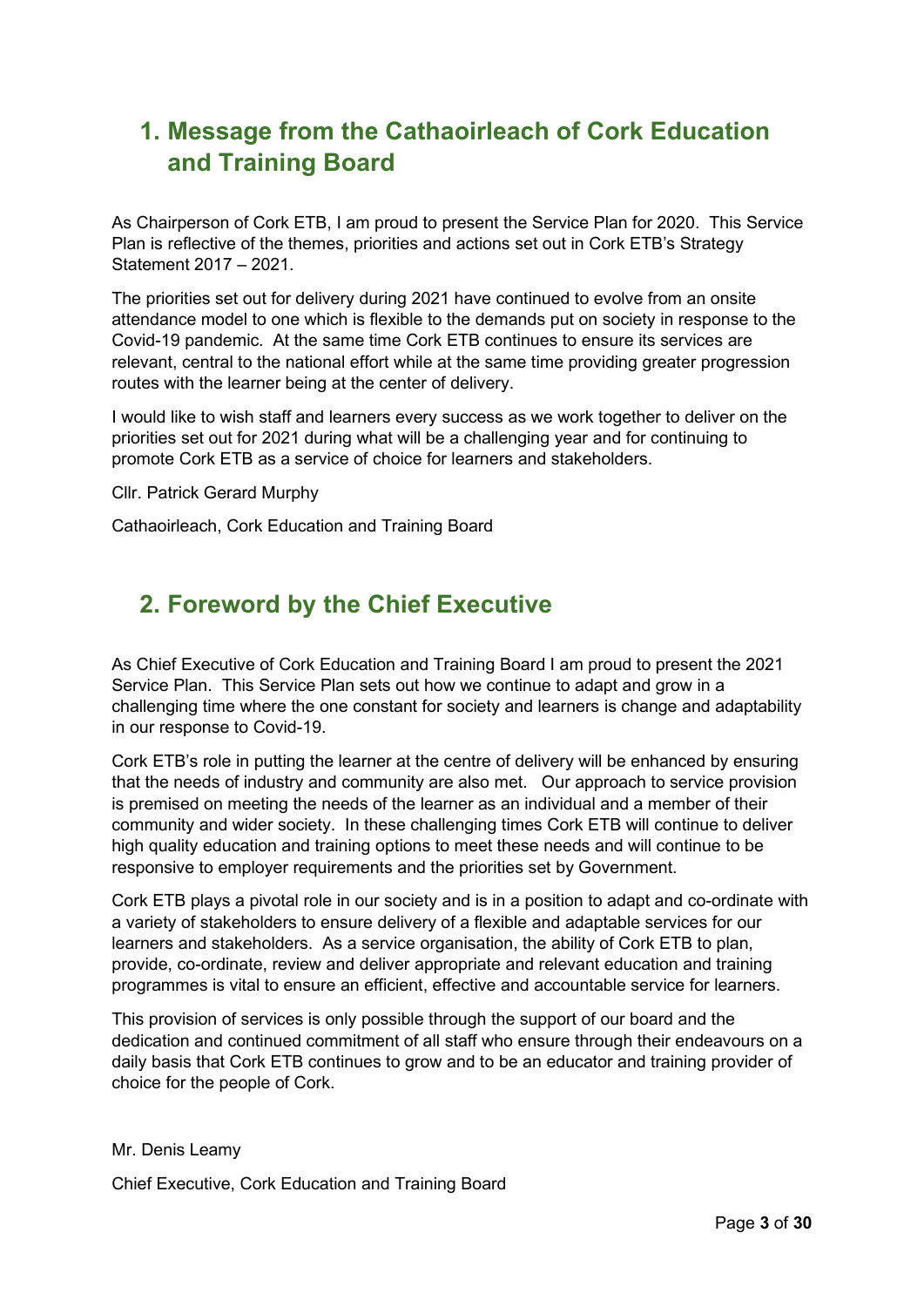### <span id="page-2-0"></span>**1. Message from the Cathaoirleach of Cork Education and Training Board**

As Chairperson of Cork ETB, I am proud to present the Service Plan for 2020. This Service Plan is reflective of the themes, priorities and actions set out in Cork ETB's Strategy Statement 2017 – 2021.

The priorities set out for delivery during 2021 have continued to evolve from an onsite attendance model to one which is flexible to the demands put on society in response to the Covid-19 pandemic. At the same time Cork ETB continues to ensure its services are relevant, central to the national effort while at the same time providing greater progression routes with the learner being at the center of delivery.

I would like to wish staff and learners every success as we work together to deliver on the priorities set out for 2021 during what will be a challenging year and for continuing to promote Cork ETB as a service of choice for learners and stakeholders.

Cllr. Patrick Gerard Murphy

Cathaoirleach, Cork Education and Training Board

## <span id="page-2-1"></span>**2. Foreword by the Chief Executive**

As Chief Executive of Cork Education and Training Board I am proud to present the 2021 Service Plan. This Service Plan sets out how we continue to adapt and grow in a challenging time where the one constant for society and learners is change and adaptability in our response to Covid-19.

Cork ETB's role in putting the learner at the centre of delivery will be enhanced by ensuring that the needs of industry and community are also met. Our approach to service provision is premised on meeting the needs of the learner as an individual and a member of their community and wider society. In these challenging times Cork ETB will continue to deliver high quality education and training options to meet these needs and will continue to be responsive to employer requirements and the priorities set by Government.

Cork ETB plays a pivotal role in our society and is in a position to adapt and co-ordinate with a variety of stakeholders to ensure delivery of a flexible and adaptable services for our learners and stakeholders. As a service organisation, the ability of Cork ETB to plan, provide, co-ordinate, review and deliver appropriate and relevant education and training programmes is vital to ensure an efficient, effective and accountable service for learners.

This provision of services is only possible through the support of our board and the dedication and continued commitment of all staff who ensure through their endeavours on a daily basis that Cork ETB continues to grow and to be an educator and training provider of choice for the people of Cork.

Mr. Denis Leamy

Chief Executive, Cork Education and Training Board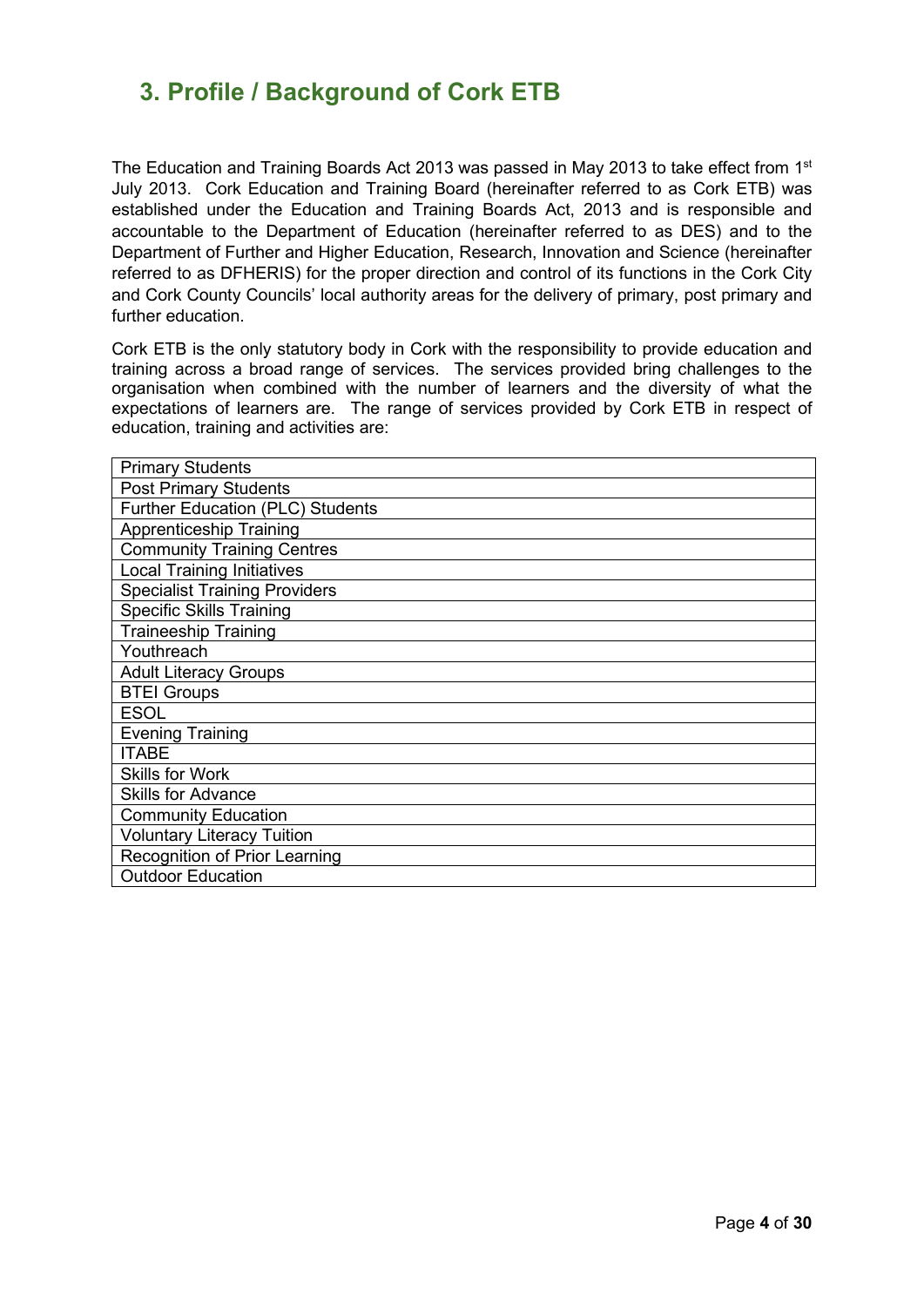### <span id="page-3-0"></span>**3. Profile / Background of Cork ETB**

The Education and Training Boards Act 2013 was passed in May 2013 to take effect from 1<sup>st</sup> July 2013. Cork Education and Training Board (hereinafter referred to as Cork ETB) was established under the Education and Training Boards Act, 2013 and is responsible and accountable to the Department of Education (hereinafter referred to as DES) and to the Department of Further and Higher Education, Research, Innovation and Science (hereinafter referred to as DFHERIS) for the proper direction and control of its functions in the Cork City and Cork County Councils' local authority areas for the delivery of primary, post primary and further education.

Cork ETB is the only statutory body in Cork with the responsibility to provide education and training across a broad range of services. The services provided bring challenges to the organisation when combined with the number of learners and the diversity of what the expectations of learners are. The range of services provided by Cork ETB in respect of education, training and activities are:

| <b>Primary Students</b>                 |
|-----------------------------------------|
| <b>Post Primary Students</b>            |
| <b>Further Education (PLC) Students</b> |
| <b>Apprenticeship Training</b>          |
| <b>Community Training Centres</b>       |
| <b>Local Training Initiatives</b>       |
| <b>Specialist Training Providers</b>    |
| <b>Specific Skills Training</b>         |
| <b>Traineeship Training</b>             |
| Youthreach                              |
| <b>Adult Literacy Groups</b>            |
| <b>BTEI Groups</b>                      |
| <b>ESOL</b>                             |
| <b>Evening Training</b>                 |
| <b>ITABE</b>                            |
| <b>Skills for Work</b>                  |
| <b>Skills for Advance</b>               |
| <b>Community Education</b>              |
| <b>Voluntary Literacy Tuition</b>       |
| Recognition of Prior Learning           |
| <b>Outdoor Education</b>                |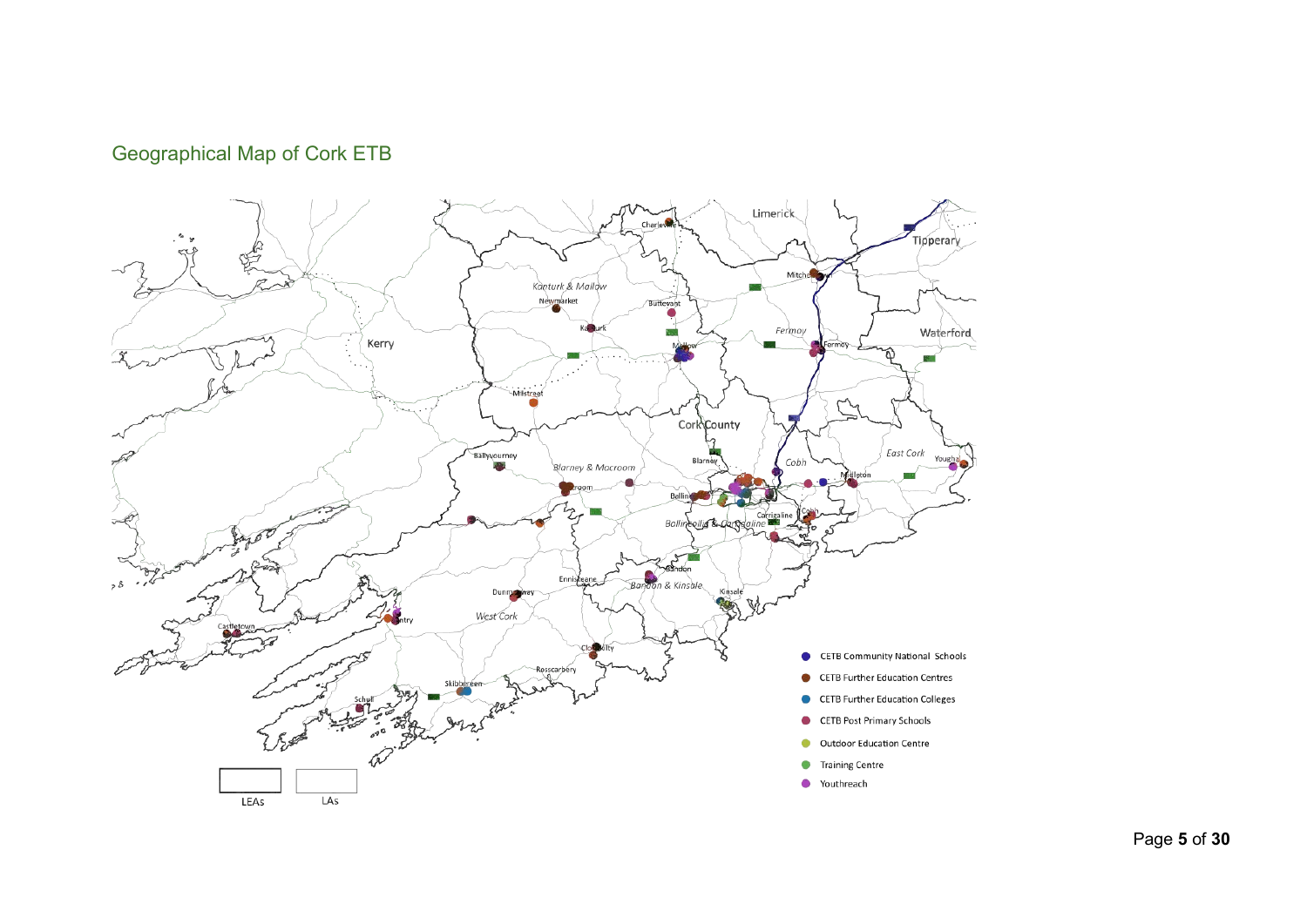### Geographical Map of Cork ETB

<span id="page-4-0"></span>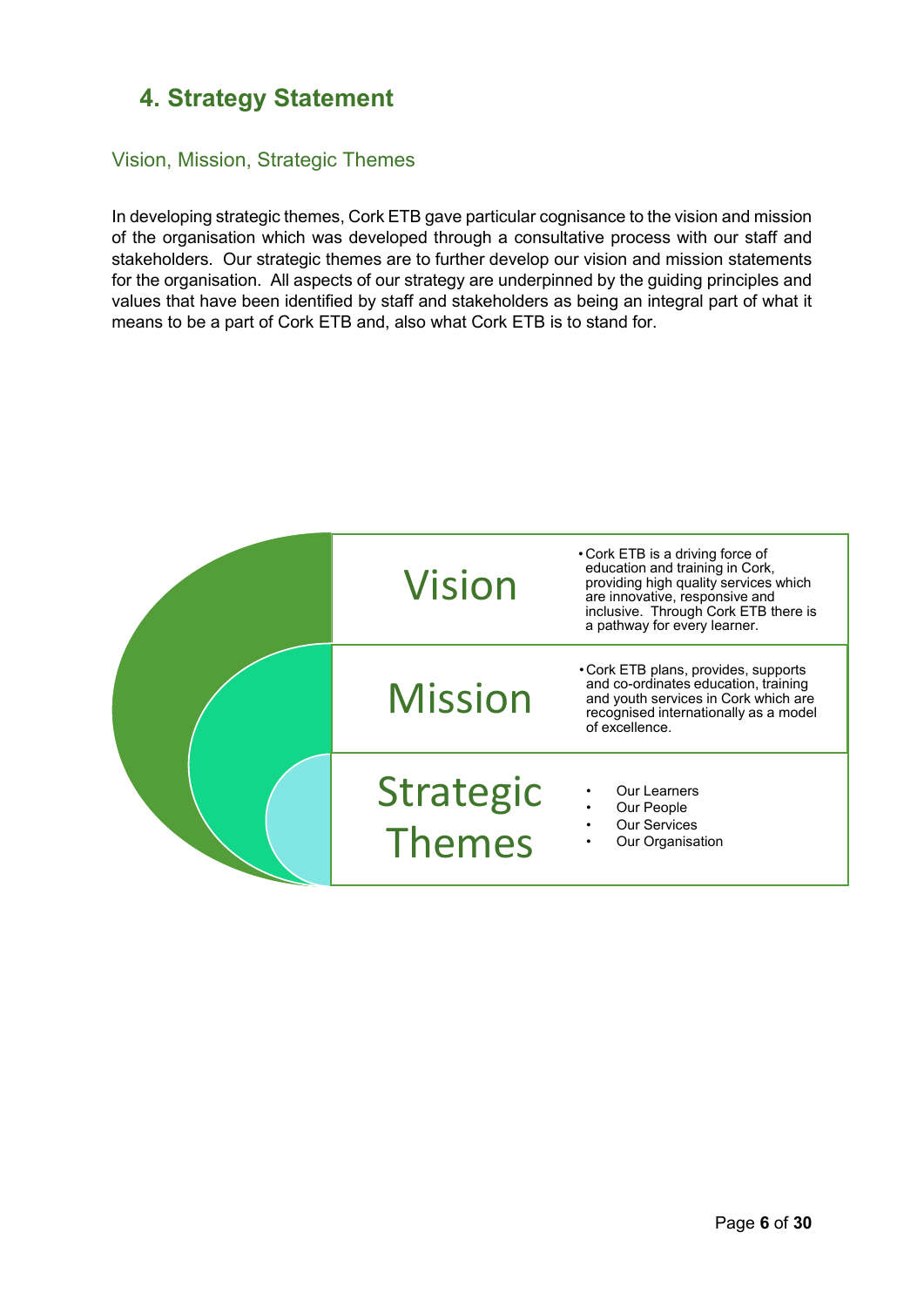### <span id="page-5-0"></span>**4. Strategy Statement**

#### <span id="page-5-1"></span>Vision, Mission, Strategic Themes

In developing strategic themes, Cork ETB gave particular cognisance to the vision and mission of the organisation which was developed through a consultative process with our staff and stakeholders. Our strategic themes are to further develop our vision and mission statements for the organisation. All aspects of our strategy are underpinned by the guiding principles and values that have been identified by staff and stakeholders as being an integral part of what it means to be a part of Cork ETB and, also what Cork ETB is to stand for.

| <b>Vision</b>       | • Cork ETB is a driving force of<br>education and training in Cork,<br>providing high quality services which<br>are innovative, responsive and<br>inclusive. Through Cork ETB there is<br>a pathway for every learner. |
|---------------------|------------------------------------------------------------------------------------------------------------------------------------------------------------------------------------------------------------------------|
| <b>Mission</b>      | • Cork ETB plans, provides, supports<br>and co-ordinates education, training<br>and youth services in Cork which are<br>recognised internationally as a model<br>of excellence.                                        |
| Strategic<br>Themes | <b>Our Learners</b><br>Our People<br><b>Our Services</b><br>Our Organisation                                                                                                                                           |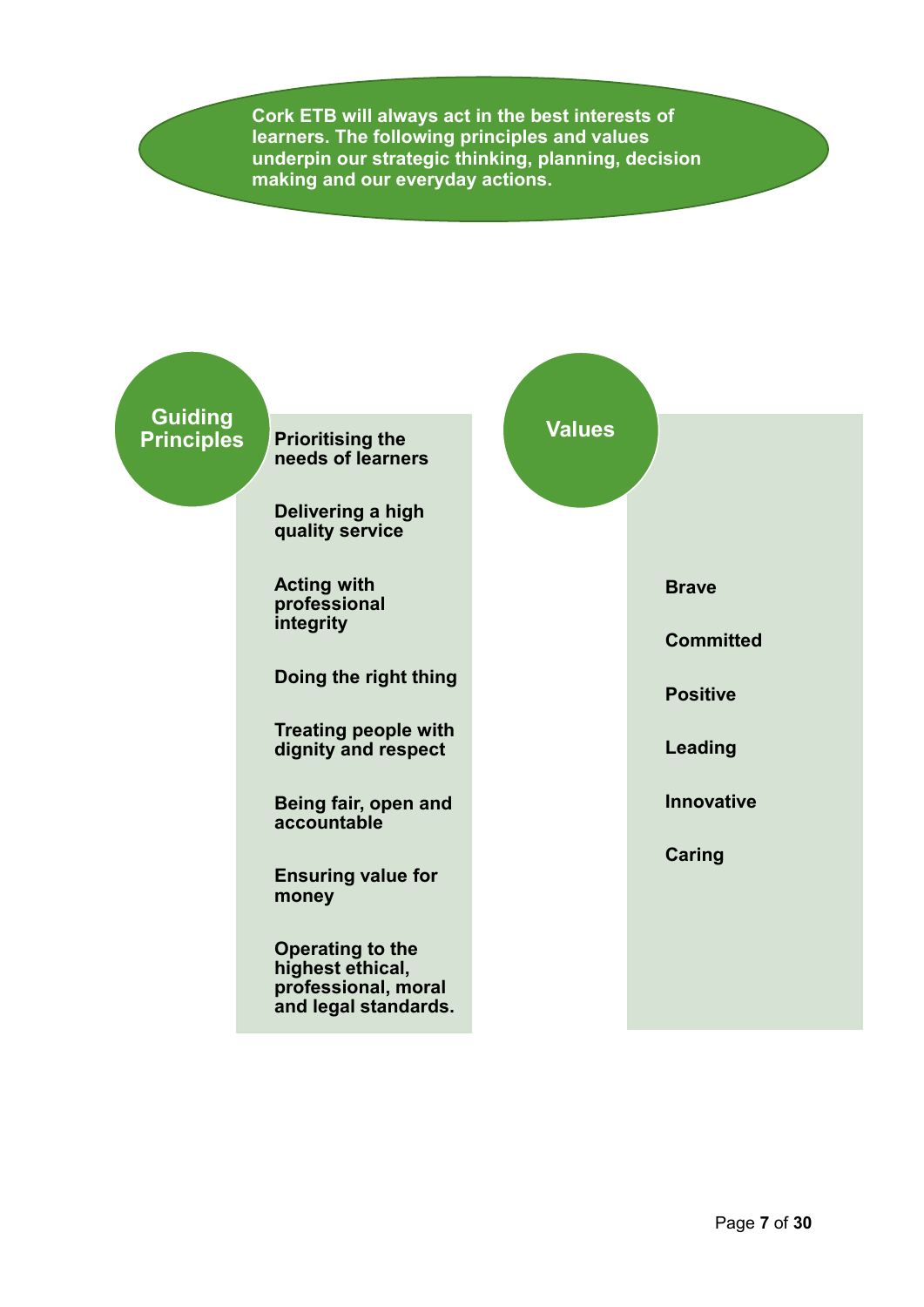**Cork ETB will always act in the best interests of learners. The following principles and values underpin our strategic thinking, planning, decision making and our everyday actions.**

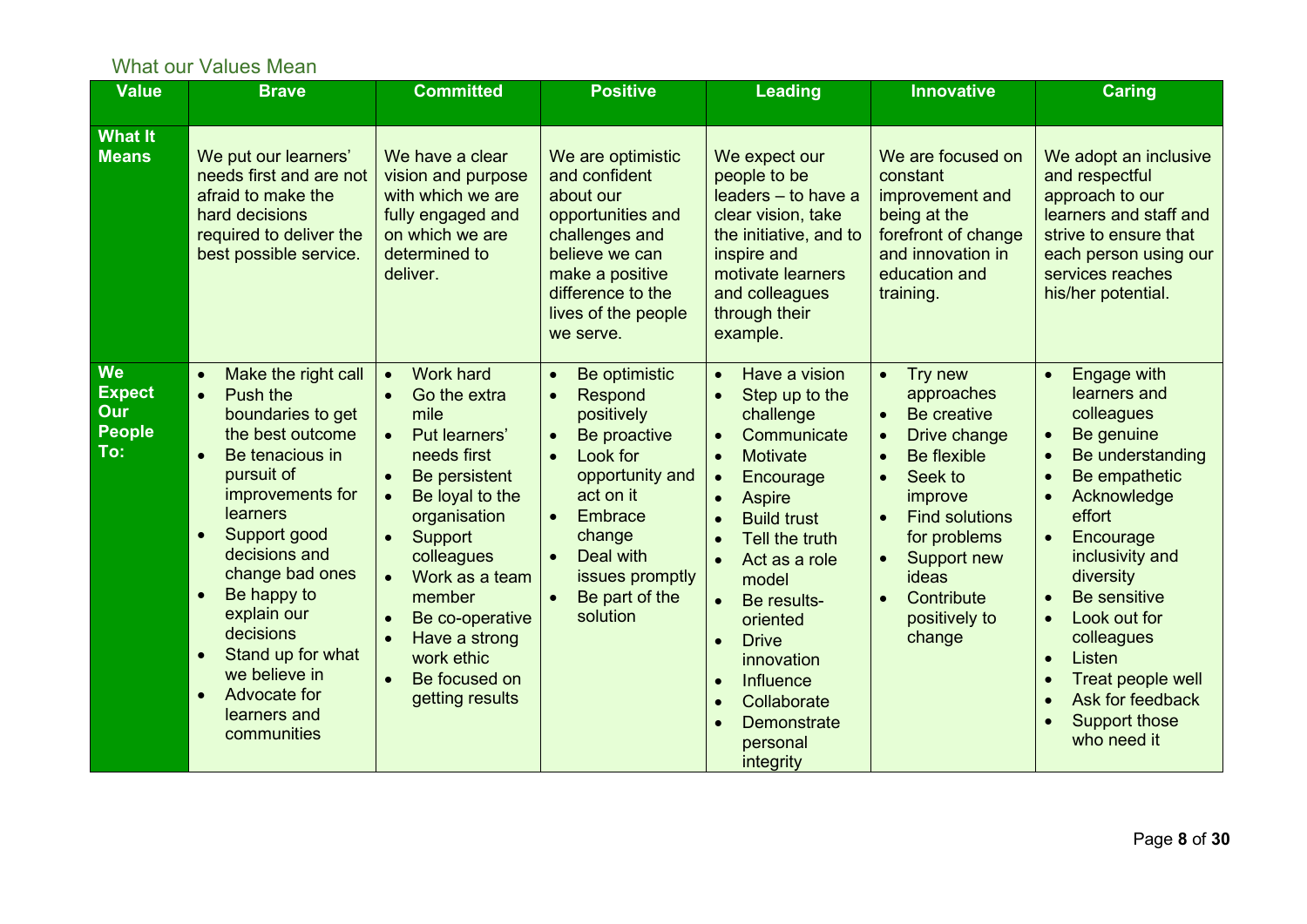### What our Values Mean

<span id="page-7-0"></span>

| <b>Value</b>                                              | <b>Brave</b>                                                                                                                                                                                                                                                                                                                                                                                                             | <b>Committed</b>                                                                                                                                                                                                                                                                                                                         | <b>Positive</b>                                                                                                                                                                                                                                                            | <b>Leading</b>                                                                                                                                                                                                                                                                                                                                                                                                                                                                                    | <b>Innovative</b>                                                                                                                                                                                                                                                                                                  | <b>Caring</b>                                                                                                                                                                                                                                                                                                                                                  |
|-----------------------------------------------------------|--------------------------------------------------------------------------------------------------------------------------------------------------------------------------------------------------------------------------------------------------------------------------------------------------------------------------------------------------------------------------------------------------------------------------|------------------------------------------------------------------------------------------------------------------------------------------------------------------------------------------------------------------------------------------------------------------------------------------------------------------------------------------|----------------------------------------------------------------------------------------------------------------------------------------------------------------------------------------------------------------------------------------------------------------------------|---------------------------------------------------------------------------------------------------------------------------------------------------------------------------------------------------------------------------------------------------------------------------------------------------------------------------------------------------------------------------------------------------------------------------------------------------------------------------------------------------|--------------------------------------------------------------------------------------------------------------------------------------------------------------------------------------------------------------------------------------------------------------------------------------------------------------------|----------------------------------------------------------------------------------------------------------------------------------------------------------------------------------------------------------------------------------------------------------------------------------------------------------------------------------------------------------------|
| <b>What It</b><br><b>Means</b>                            | We put our learners'<br>needs first and are not<br>afraid to make the<br>hard decisions<br>required to deliver the<br>best possible service.                                                                                                                                                                                                                                                                             | We have a clear<br>vision and purpose<br>with which we are<br>fully engaged and<br>on which we are<br>determined to<br>deliver.                                                                                                                                                                                                          | We are optimistic<br>and confident<br>about our<br>opportunities and<br>challenges and<br>believe we can<br>make a positive<br>difference to the<br>lives of the people<br>we serve.                                                                                       | We expect our<br>people to be<br>leaders - to have a<br>clear vision, take<br>the initiative, and to<br>inspire and<br>motivate learners<br>and colleagues<br>through their<br>example.                                                                                                                                                                                                                                                                                                           | We are focused on<br>constant<br>improvement and<br>being at the<br>forefront of change<br>and innovation in<br>education and<br>training.                                                                                                                                                                         | We adopt an inclusive<br>and respectful<br>approach to our<br>learners and staff and<br>strive to ensure that<br>each person using our<br>services reaches<br>his/her potential.                                                                                                                                                                               |
| <b>We</b><br><b>Expect</b><br>Our<br><b>People</b><br>To: | Make the right call<br>$\bullet$<br>Push the<br>$\bullet$<br>boundaries to get<br>the best outcome<br>Be tenacious in<br>$\bullet$<br>pursuit of<br>improvements for<br>learners<br>Support good<br>$\bullet$<br>decisions and<br>change bad ones<br>Be happy to<br>$\bullet$<br>explain our<br>decisions<br>Stand up for what<br>$\bullet$<br>we believe in<br>Advocate for<br>$\bullet$<br>learners and<br>communities | <b>Work hard</b><br>$\bullet$<br>Go the extra<br>mile<br>Put learners'<br>$\bullet$<br>needs first<br>Be persistent<br>Be loyal to the<br>organisation<br>Support<br>$\bullet$<br>colleagues<br>Work as a team<br>member<br>Be co-operative<br>$\bullet$<br>Have a strong<br>$\bullet$<br>work ethic<br>Be focused on<br>getting results | Be optimistic<br>$\bullet$<br>Respond<br>$\bullet$<br>positively<br>Be proactive<br>$\bullet$<br>Look for<br>$\bullet$<br>opportunity and<br>act on it<br><b>Embrace</b><br>$\bullet$<br>change<br>Deal with<br>$\bullet$<br>issues promptly<br>Be part of the<br>solution | Have a vision<br>$\bullet$<br>Step up to the<br>$\bullet$<br>challenge<br>Communicate<br>$\bullet$<br><b>Motivate</b><br>$\bullet$<br>Encourage<br>$\bullet$<br><b>Aspire</b><br>$\bullet$<br><b>Build trust</b><br>$\bullet$<br>Tell the truth<br>$\bullet$<br>Act as a role<br>$\bullet$<br>model<br>Be results-<br>$\bullet$<br>oriented<br><b>Drive</b><br>$\bullet$<br>innovation<br>Influence<br>$\bullet$<br>Collaborate<br>$\bullet$<br>Demonstrate<br>$\bullet$<br>personal<br>integrity | Try new<br>$\bullet$<br>approaches<br>Be creative<br>$\bullet$<br>Drive change<br>$\bullet$<br>Be flexible<br>$\bullet$<br>Seek to<br>$\bullet$<br>improve<br><b>Find solutions</b><br>$\bullet$<br>for problems<br>Support new<br>$\bullet$<br><b>ideas</b><br>Contribute<br>$\bullet$<br>positively to<br>change | <b>Engage with</b><br>$\bullet$<br>learners and<br>colleagues<br>Be genuine<br>$\bullet$<br>Be understanding<br>Be empathetic<br>Acknowledge<br>effort<br>Encourage<br>inclusivity and<br>diversity<br>Be sensitive<br>Look out for<br>$\bullet$<br>colleagues<br>Listen<br>$\bullet$<br>Treat people well<br>Ask for feedback<br>Support those<br>who need it |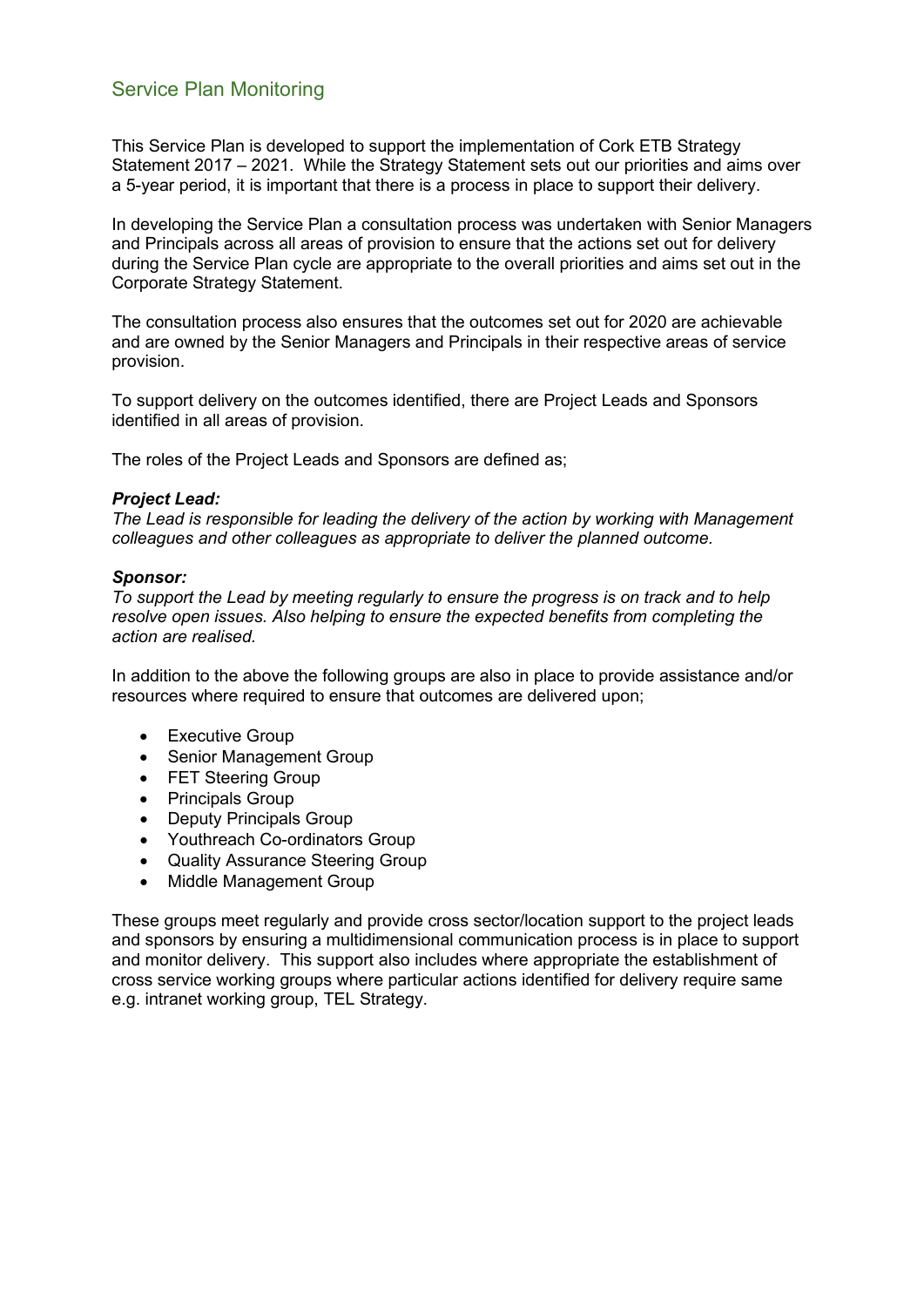#### <span id="page-8-0"></span>Service Plan Monitoring

This Service Plan is developed to support the implementation of Cork ETB Strategy Statement 2017 – 2021. While the Strategy Statement sets out our priorities and aims over a 5-year period, it is important that there is a process in place to support their delivery.

In developing the Service Plan a consultation process was undertaken with Senior Managers and Principals across all areas of provision to ensure that the actions set out for delivery during the Service Plan cycle are appropriate to the overall priorities and aims set out in the Corporate Strategy Statement.

The consultation process also ensures that the outcomes set out for 2020 are achievable and are owned by the Senior Managers and Principals in their respective areas of service provision.

To support delivery on the outcomes identified, there are Project Leads and Sponsors identified in all areas of provision.

The roles of the Project Leads and Sponsors are defined as;

#### *Project Lead:*

*The Lead is responsible for leading the delivery of the action by working with Management colleagues and other colleagues as appropriate to deliver the planned outcome.* 

#### *Sponsor:*

*To support the Lead by meeting regularly to ensure the progress is on track and to help resolve open issues. Also helping to ensure the expected benefits from completing the action are realised.*

In addition to the above the following groups are also in place to provide assistance and/or resources where required to ensure that outcomes are delivered upon;

- Executive Group
- Senior Management Group
- FET Steering Group
- Principals Group
- Deputy Principals Group
- Youthreach Co-ordinators Group
- Quality Assurance Steering Group
- Middle Management Group

These groups meet regularly and provide cross sector/location support to the project leads and sponsors by ensuring a multidimensional communication process is in place to support and monitor delivery. This support also includes where appropriate the establishment of cross service working groups where particular actions identified for delivery require same e.g. intranet working group, TEL Strategy.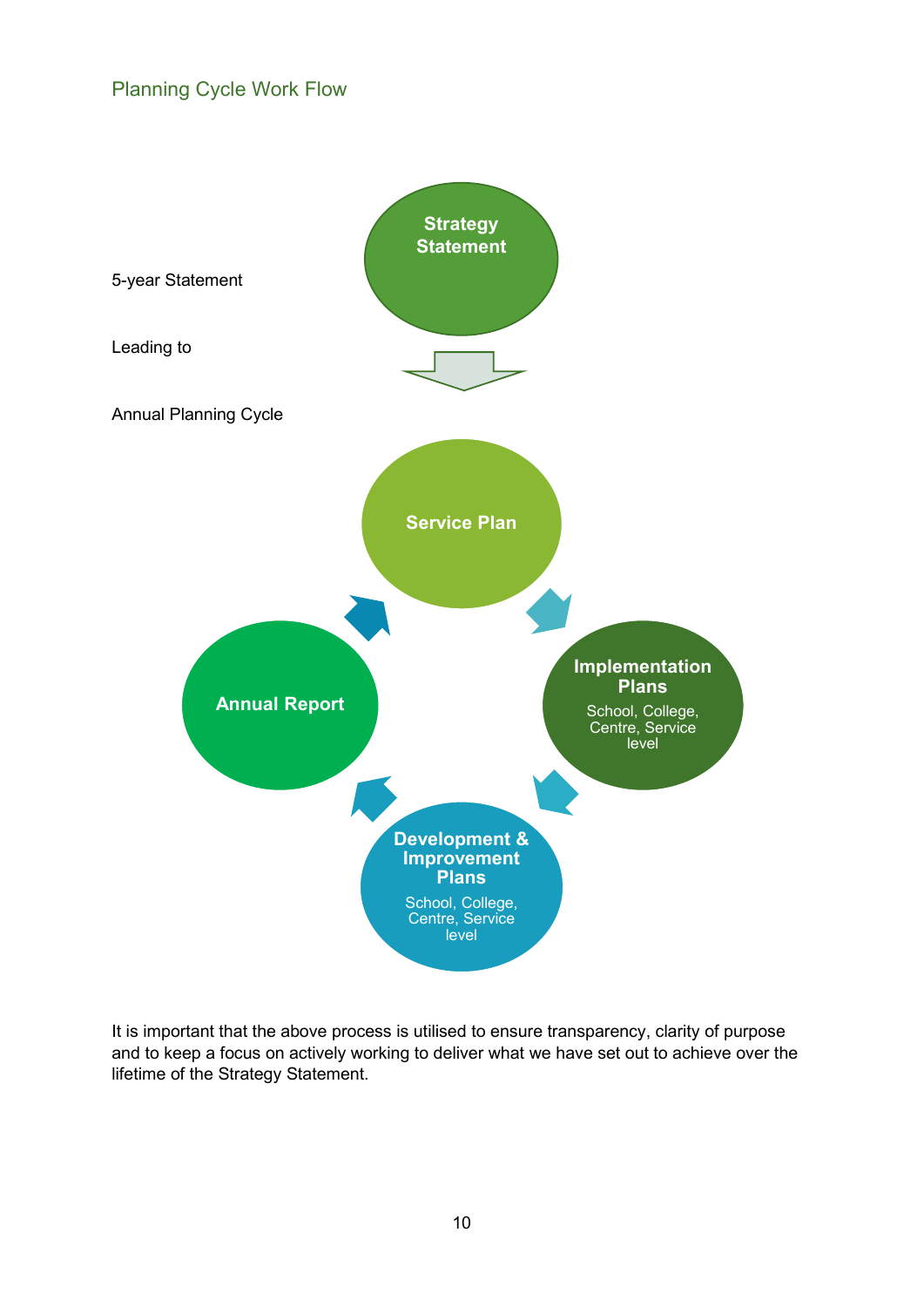#### <span id="page-9-0"></span>Planning Cycle Work Flow



It is important that the above process is utilised to ensure transparency, clarity of purpose and to keep a focus on actively working to deliver what we have set out to achieve over the lifetime of the Strategy Statement.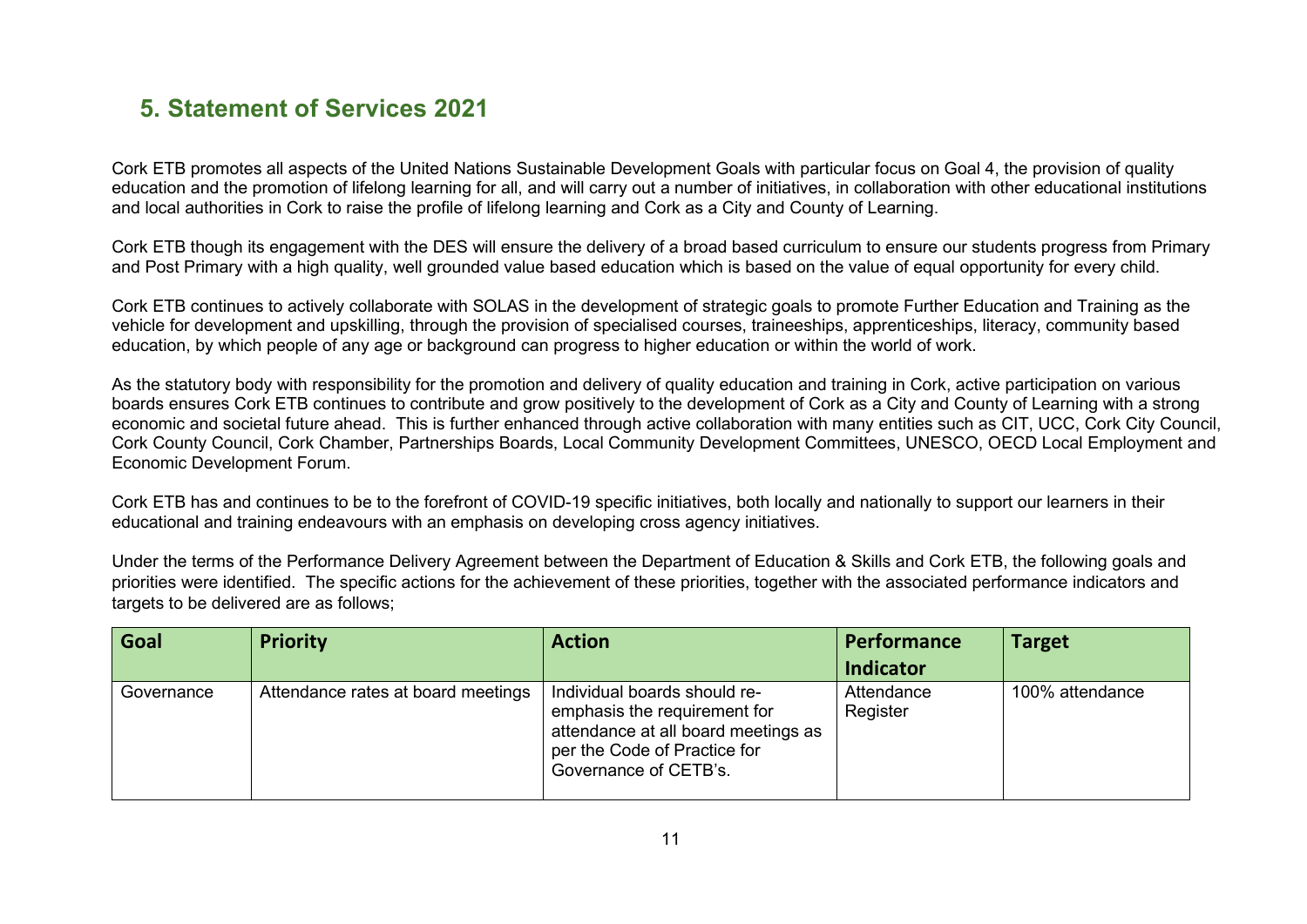### **5. Statement of Services 2021**

Cork ETB promotes all aspects of the United Nations Sustainable Development Goals with particular focus on Goal 4, the provision of quality education and the promotion of lifelong learning for all, and will carry out a number of initiatives, in collaboration with other educational institutions and local authorities in Cork to raise the profile of lifelong learning and Cork as a City and County of Learning.

Cork ETB though its engagement with the DES will ensure the delivery of a broad based curriculum to ensure our students progress from Primary and Post Primary with a high quality, well grounded value based education which is based on the value of equal opportunity for every child.

Cork ETB continues to actively collaborate with SOLAS in the development of strategic goals to promote Further Education and Training as the vehicle for development and upskilling, through the provision of specialised courses, traineeships, apprenticeships, literacy, community based education, by which people of any age or background can progress to higher education or within the world of work.

As the statutory body with responsibility for the promotion and delivery of quality education and training in Cork, active participation on various boards ensures Cork ETB continues to contribute and grow positively to the development of Cork as a City and County of Learning with a strong economic and societal future ahead. This is further enhanced through active collaboration with many entities such as CIT, UCC, Cork City Council, Cork County Council, Cork Chamber, Partnerships Boards, Local Community Development Committees, UNESCO, OECD Local Employment and Economic Development Forum.

<span id="page-10-0"></span>Cork ETB has and continues to be to the forefront of COVID-19 specific initiatives, both locally and nationally to support our learners in their educational and training endeavours with an emphasis on developing cross agency initiatives.

Under the terms of the Performance Delivery Agreement between the Department of Education & Skills and Cork ETB, the following goals and priorities were identified. The specific actions for the achievement of these priorities, together with the associated performance indicators and targets to be delivered are as follows;

| Goal       | <b>Priority</b>                    | <b>Action</b>                                                                                                                                                | <b>Performance</b>     | <b>Target</b>   |
|------------|------------------------------------|--------------------------------------------------------------------------------------------------------------------------------------------------------------|------------------------|-----------------|
|            |                                    |                                                                                                                                                              | <b>Indicator</b>       |                 |
| Governance | Attendance rates at board meetings | Individual boards should re-<br>emphasis the requirement for<br>attendance at all board meetings as<br>per the Code of Practice for<br>Governance of CETB's. | Attendance<br>Register | 100% attendance |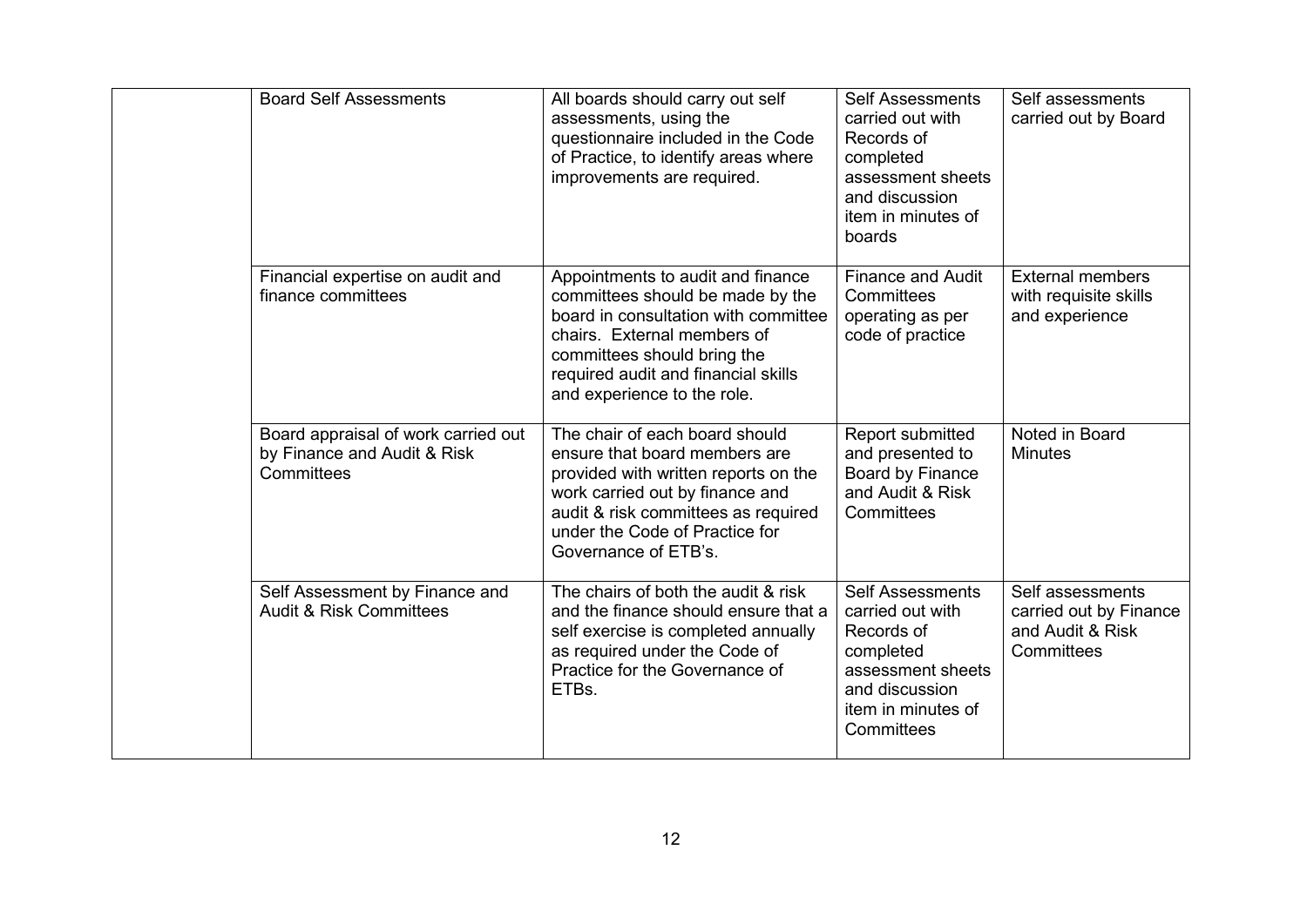| <b>Board Self Assessments</b>                                                    | All boards should carry out self<br>assessments, using the<br>questionnaire included in the Code<br>of Practice, to identify areas where<br>improvements are required.                                                                            | <b>Self Assessments</b><br>carried out with<br>Records of<br>completed<br>assessment sheets<br>and discussion<br>item in minutes of<br>boards     | Self assessments<br>carried out by Board                                     |
|----------------------------------------------------------------------------------|---------------------------------------------------------------------------------------------------------------------------------------------------------------------------------------------------------------------------------------------------|---------------------------------------------------------------------------------------------------------------------------------------------------|------------------------------------------------------------------------------|
| Financial expertise on audit and<br>finance committees                           | Appointments to audit and finance<br>committees should be made by the<br>board in consultation with committee<br>chairs. External members of<br>committees should bring the<br>required audit and financial skills<br>and experience to the role. | <b>Finance and Audit</b><br>Committees<br>operating as per<br>code of practice                                                                    | <b>External members</b><br>with requisite skills<br>and experience           |
| Board appraisal of work carried out<br>by Finance and Audit & Risk<br>Committees | The chair of each board should<br>ensure that board members are<br>provided with written reports on the<br>work carried out by finance and<br>audit & risk committees as required<br>under the Code of Practice for<br>Governance of ETB's.       | Report submitted<br>and presented to<br>Board by Finance<br>and Audit & Risk<br>Committees                                                        | Noted in Board<br><b>Minutes</b>                                             |
| Self Assessment by Finance and<br><b>Audit &amp; Risk Committees</b>             | The chairs of both the audit & risk<br>and the finance should ensure that a<br>self exercise is completed annually<br>as required under the Code of<br>Practice for the Governance of<br>ETBs.                                                    | <b>Self Assessments</b><br>carried out with<br>Records of<br>completed<br>assessment sheets<br>and discussion<br>item in minutes of<br>Committees | Self assessments<br>carried out by Finance<br>and Audit & Risk<br>Committees |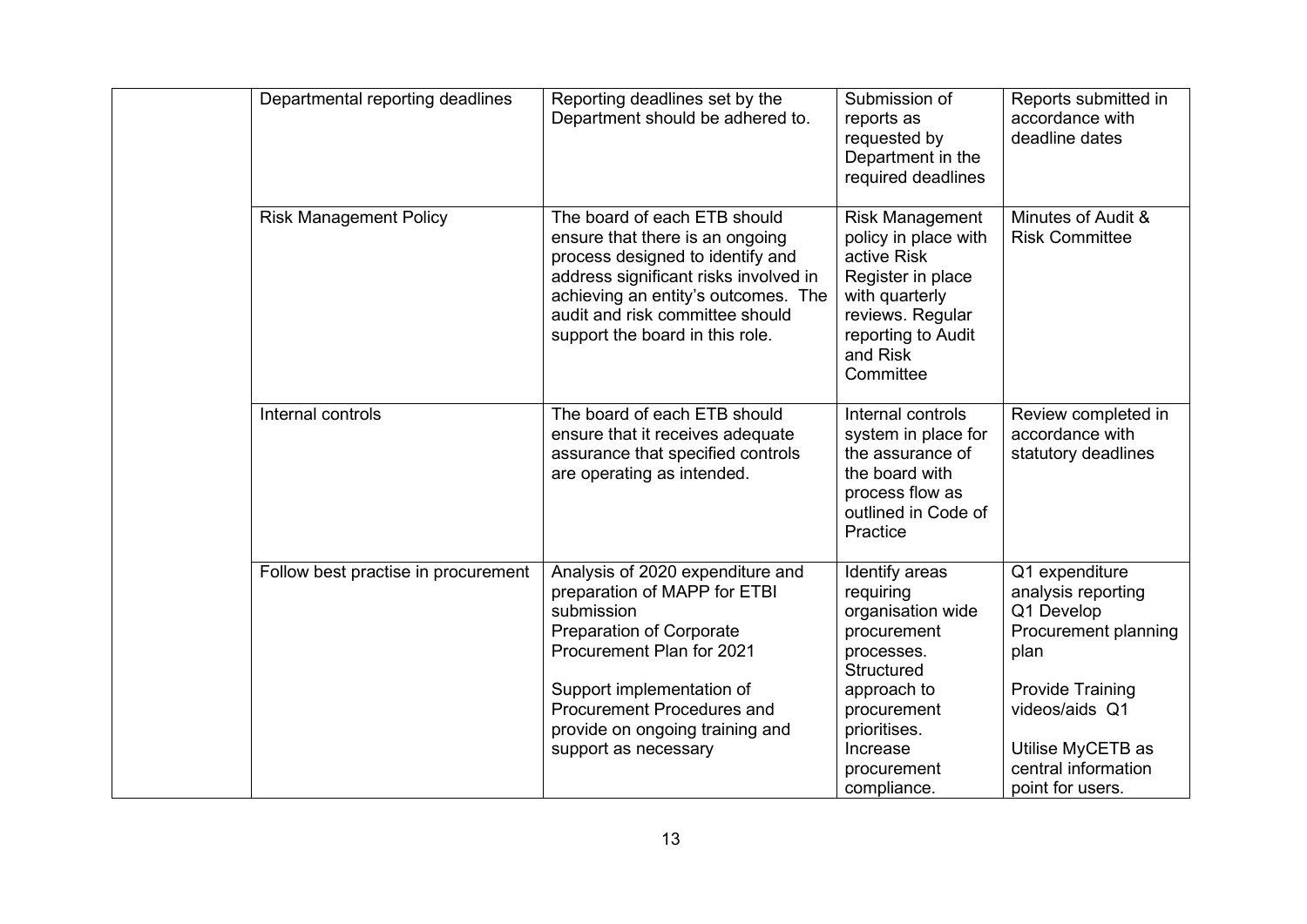| Departmental reporting deadlines    | Reporting deadlines set by the<br>Department should be adhered to.                                                                                                                                                                                                          | Submission of<br>reports as<br>requested by<br>Department in the<br>required deadlines                                                                                              | Reports submitted in<br>accordance with<br>deadline dates                                                                                                                                       |
|-------------------------------------|-----------------------------------------------------------------------------------------------------------------------------------------------------------------------------------------------------------------------------------------------------------------------------|-------------------------------------------------------------------------------------------------------------------------------------------------------------------------------------|-------------------------------------------------------------------------------------------------------------------------------------------------------------------------------------------------|
| <b>Risk Management Policy</b>       | The board of each ETB should<br>ensure that there is an ongoing<br>process designed to identify and<br>address significant risks involved in<br>achieving an entity's outcomes. The<br>audit and risk committee should<br>support the board in this role.                   | <b>Risk Management</b><br>policy in place with<br>active Risk<br>Register in place<br>with quarterly<br>reviews. Regular<br>reporting to Audit<br>and Risk<br>Committee             | Minutes of Audit &<br><b>Risk Committee</b>                                                                                                                                                     |
| Internal controls                   | The board of each ETB should<br>ensure that it receives adequate<br>assurance that specified controls<br>are operating as intended.                                                                                                                                         | Internal controls<br>system in place for<br>the assurance of<br>the board with<br>process flow as<br>outlined in Code of<br>Practice                                                | Review completed in<br>accordance with<br>statutory deadlines                                                                                                                                   |
| Follow best practise in procurement | Analysis of 2020 expenditure and<br>preparation of MAPP for ETBI<br>submission<br><b>Preparation of Corporate</b><br>Procurement Plan for 2021<br>Support implementation of<br><b>Procurement Procedures and</b><br>provide on ongoing training and<br>support as necessary | Identify areas<br>requiring<br>organisation wide<br>procurement<br>processes.<br>Structured<br>approach to<br>procurement<br>prioritises.<br>Increase<br>procurement<br>compliance. | Q1 expenditure<br>analysis reporting<br>Q1 Develop<br>Procurement planning<br>plan<br><b>Provide Training</b><br>videos/aids Q1<br>Utilise MyCETB as<br>central information<br>point for users. |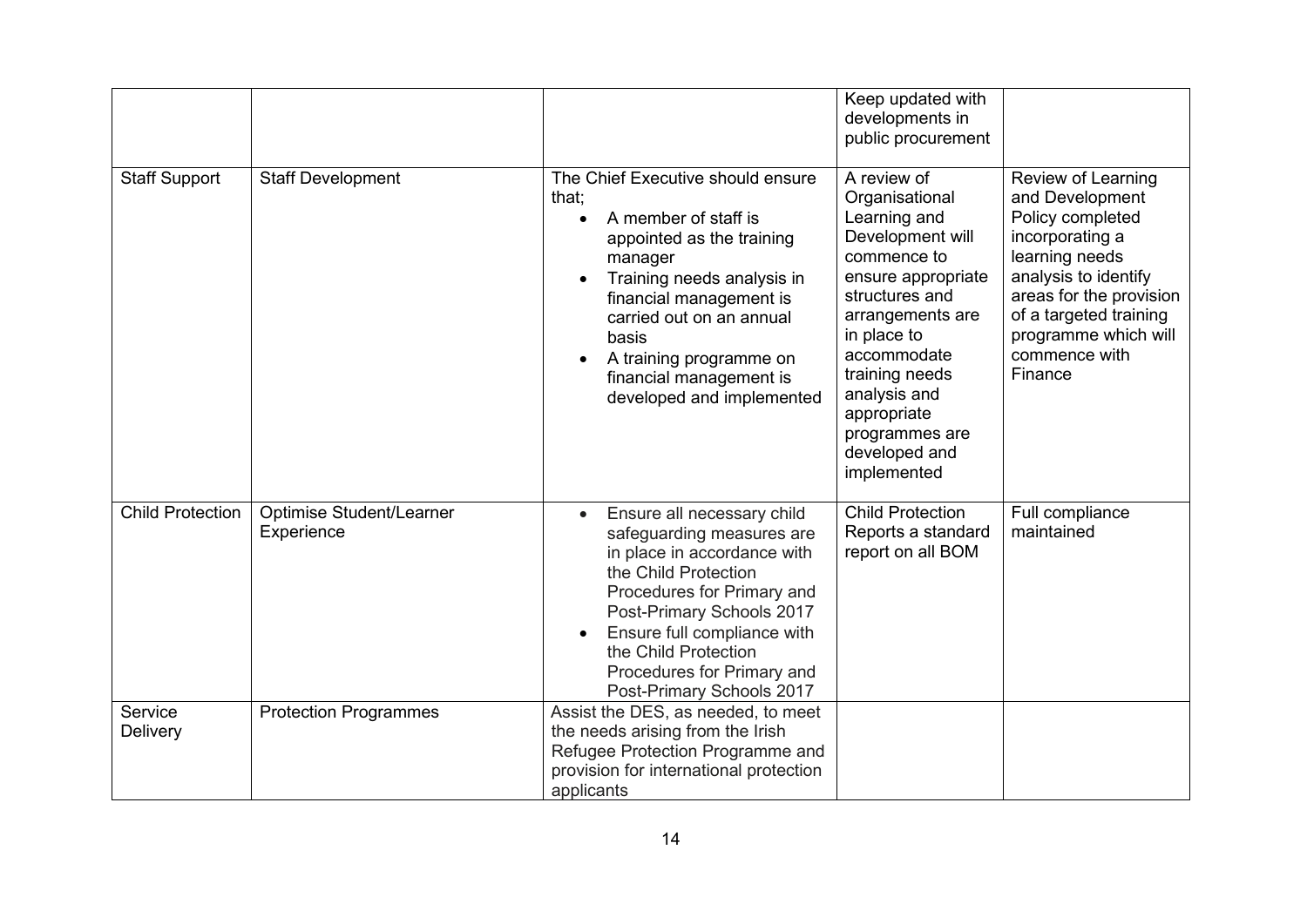|                         |                                               |                                                                                                                                                                                                                                                                                                  | Keep updated with<br>developments in<br>public procurement                                                                                                                                                                                                                    |                                                                                                                                                                                                                                 |
|-------------------------|-----------------------------------------------|--------------------------------------------------------------------------------------------------------------------------------------------------------------------------------------------------------------------------------------------------------------------------------------------------|-------------------------------------------------------------------------------------------------------------------------------------------------------------------------------------------------------------------------------------------------------------------------------|---------------------------------------------------------------------------------------------------------------------------------------------------------------------------------------------------------------------------------|
| <b>Staff Support</b>    | <b>Staff Development</b>                      | The Chief Executive should ensure<br>that;<br>A member of staff is<br>appointed as the training<br>manager<br>Training needs analysis in<br>٠<br>financial management is<br>carried out on an annual<br>basis<br>A training programme on<br>financial management is<br>developed and implemented | A review of<br>Organisational<br>Learning and<br>Development will<br>commence to<br>ensure appropriate<br>structures and<br>arrangements are<br>in place to<br>accommodate<br>training needs<br>analysis and<br>appropriate<br>programmes are<br>developed and<br>implemented | Review of Learning<br>and Development<br>Policy completed<br>incorporating a<br>learning needs<br>analysis to identify<br>areas for the provision<br>of a targeted training<br>programme which will<br>commence with<br>Finance |
| <b>Child Protection</b> | <b>Optimise Student/Learner</b><br>Experience | Ensure all necessary child<br>safeguarding measures are<br>in place in accordance with<br>the Child Protection<br>Procedures for Primary and<br>Post-Primary Schools 2017<br>Ensure full compliance with<br>the Child Protection<br>Procedures for Primary and<br>Post-Primary Schools 2017      | <b>Child Protection</b><br>Reports a standard<br>report on all BOM                                                                                                                                                                                                            | Full compliance<br>maintained                                                                                                                                                                                                   |
| Service<br>Delivery     | <b>Protection Programmes</b>                  | Assist the DES, as needed, to meet<br>the needs arising from the Irish<br>Refugee Protection Programme and<br>provision for international protection<br>applicants                                                                                                                               |                                                                                                                                                                                                                                                                               |                                                                                                                                                                                                                                 |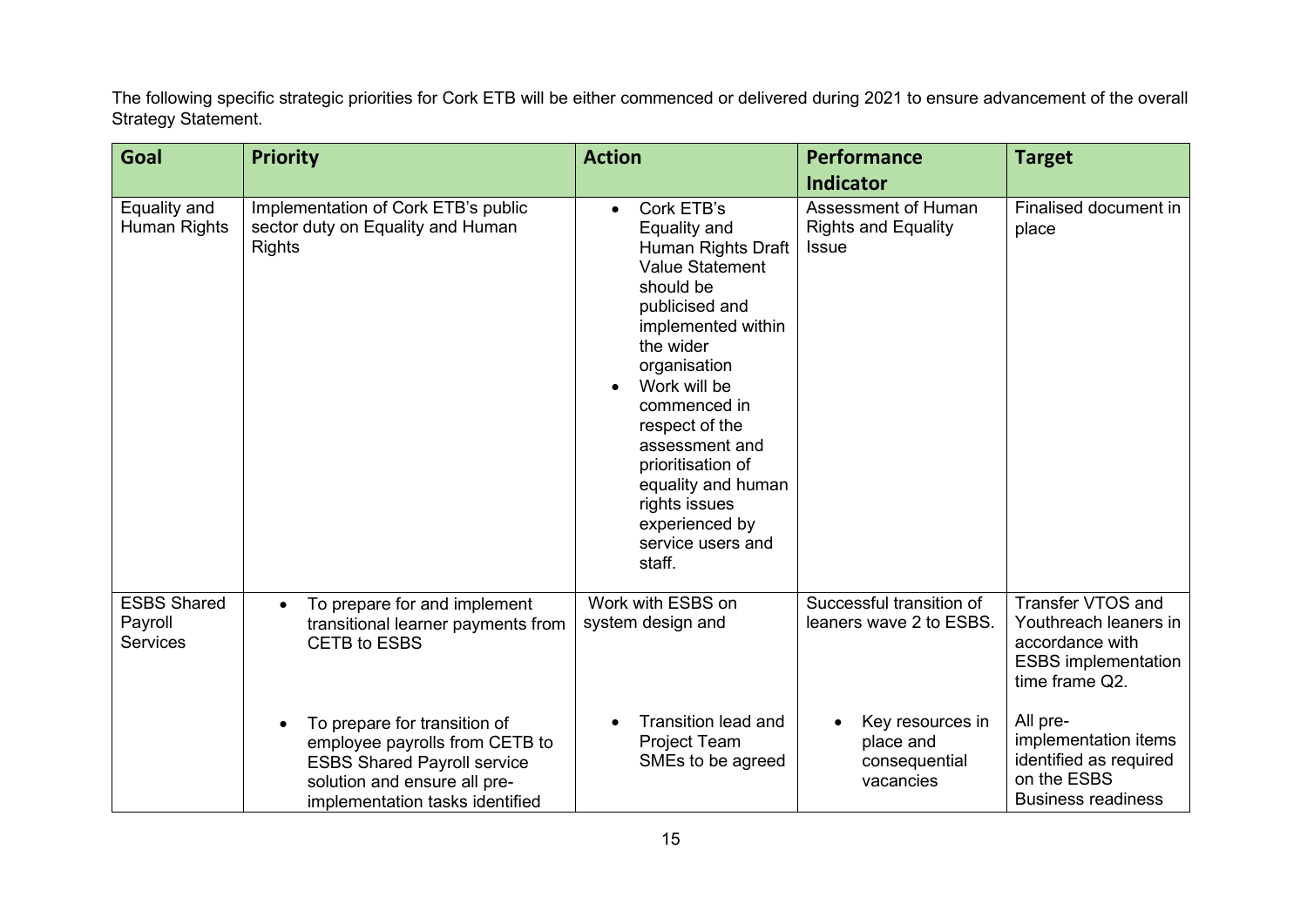The following specific strategic priorities for Cork ETB will be either commenced or delivered during 2021 to ensure advancement of the overall Strategy Statement.

| Goal                                             | <b>Priority</b>                                                                                                                                                         | <b>Action</b>                                                                                                                                                                                                                                                                                                                                              | Performance                                                       | <b>Target</b>                                                                                                 |
|--------------------------------------------------|-------------------------------------------------------------------------------------------------------------------------------------------------------------------------|------------------------------------------------------------------------------------------------------------------------------------------------------------------------------------------------------------------------------------------------------------------------------------------------------------------------------------------------------------|-------------------------------------------------------------------|---------------------------------------------------------------------------------------------------------------|
|                                                  |                                                                                                                                                                         |                                                                                                                                                                                                                                                                                                                                                            | <b>Indicator</b>                                                  |                                                                                                               |
| Equality and<br>Human Rights                     | Implementation of Cork ETB's public<br>sector duty on Equality and Human<br><b>Rights</b>                                                                               | Cork ETB's<br>$\bullet$<br>Equality and<br>Human Rights Draft<br><b>Value Statement</b><br>should be<br>publicised and<br>implemented within<br>the wider<br>organisation<br>Work will be<br>commenced in<br>respect of the<br>assessment and<br>prioritisation of<br>equality and human<br>rights issues<br>experienced by<br>service users and<br>staff. | Assessment of Human<br><b>Rights and Equality</b><br><b>Issue</b> | Finalised document in<br>place                                                                                |
| <b>ESBS Shared</b><br>Payroll<br><b>Services</b> | To prepare for and implement<br>$\bullet$<br>transitional learner payments from<br><b>CETB to ESBS</b>                                                                  | Work with ESBS on<br>system design and                                                                                                                                                                                                                                                                                                                     | Successful transition of<br>leaners wave 2 to ESBS.               | Transfer VTOS and<br>Youthreach leaners in<br>accordance with<br><b>ESBS</b> implementation<br>time frame Q2. |
|                                                  | To prepare for transition of<br>employee payrolls from CETB to<br><b>ESBS Shared Payroll service</b><br>solution and ensure all pre-<br>implementation tasks identified | <b>Transition lead and</b><br>Project Team<br>SMEs to be agreed                                                                                                                                                                                                                                                                                            | Key resources in<br>place and<br>consequential<br>vacancies       | All pre-<br>implementation items<br>identified as required<br>on the ESBS<br><b>Business readiness</b>        |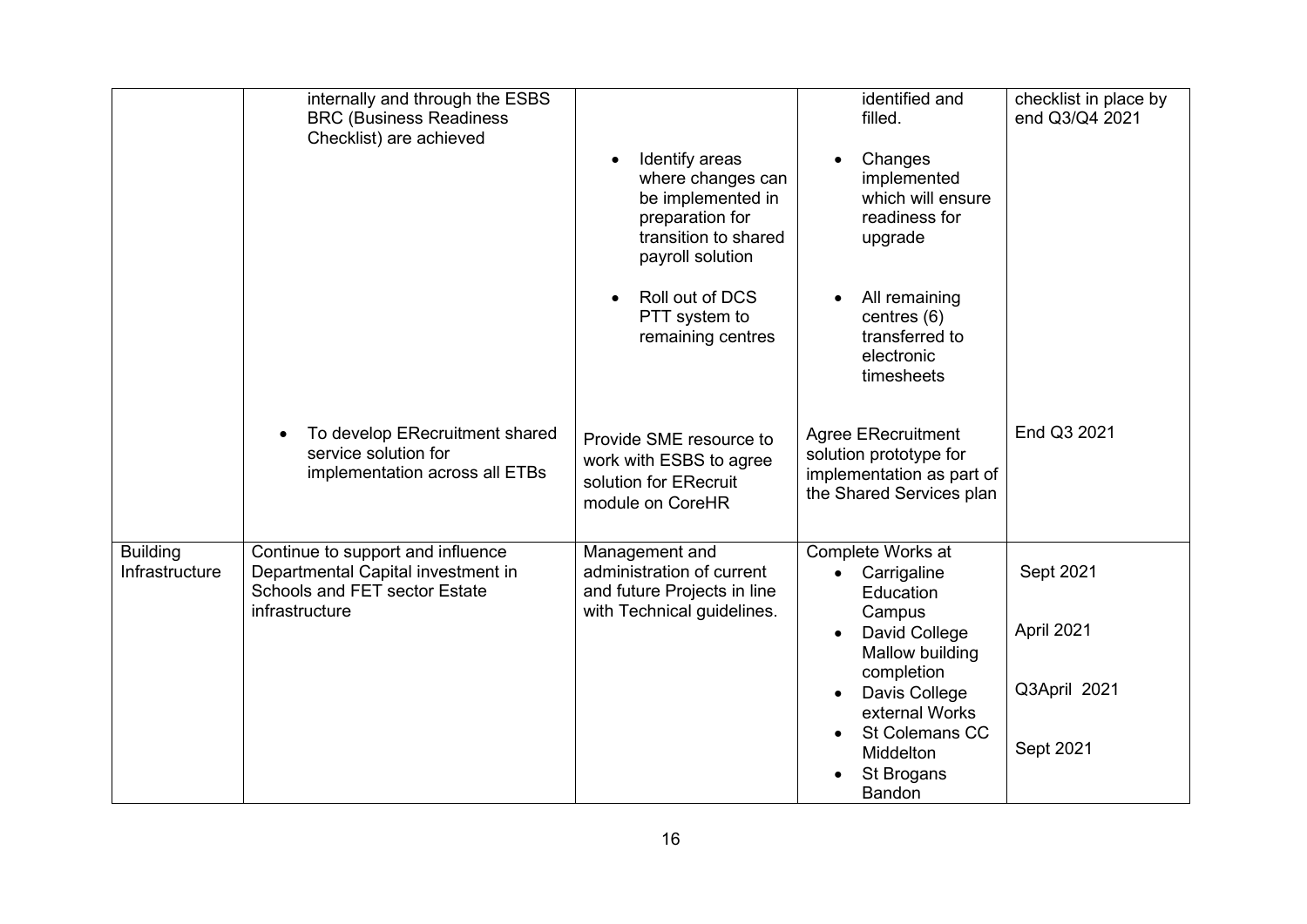|                                   | internally and through the ESBS<br><b>BRC (Business Readiness</b><br>Checklist) are achieved                               | Identify areas<br>where changes can<br>be implemented in<br>preparation for<br>transition to shared<br>payroll solution<br>Roll out of DCS<br>PTT system to<br>remaining centres | identified and<br>filled.<br>Changes<br>implemented<br>which will ensure<br>readiness for<br>upgrade<br>All remaining<br>centres (6)<br>transferred to<br>electronic<br>timesheets                           | checklist in place by<br>end Q3/Q4 2021              |
|-----------------------------------|----------------------------------------------------------------------------------------------------------------------------|----------------------------------------------------------------------------------------------------------------------------------------------------------------------------------|--------------------------------------------------------------------------------------------------------------------------------------------------------------------------------------------------------------|------------------------------------------------------|
|                                   | To develop ERecruitment shared<br>service solution for<br>implementation across all ETBs                                   | Provide SME resource to<br>work with ESBS to agree<br>solution for ERecruit<br>module on CoreHR                                                                                  | <b>Agree ERecruitment</b><br>solution prototype for<br>implementation as part of<br>the Shared Services plan                                                                                                 | End Q3 2021                                          |
| <b>Building</b><br>Infrastructure | Continue to support and influence<br>Departmental Capital investment in<br>Schools and FET sector Estate<br>infrastructure | Management and<br>administration of current<br>and future Projects in line<br>with Technical guidelines.                                                                         | Complete Works at<br>• Carrigaline<br>Education<br>Campus<br>David College<br>Mallow building<br>completion<br>Davis College<br>external Works<br>St Colemans CC<br>Middelton<br>St Brogans<br><b>Bandon</b> | Sept 2021<br>April 2021<br>Q3April 2021<br>Sept 2021 |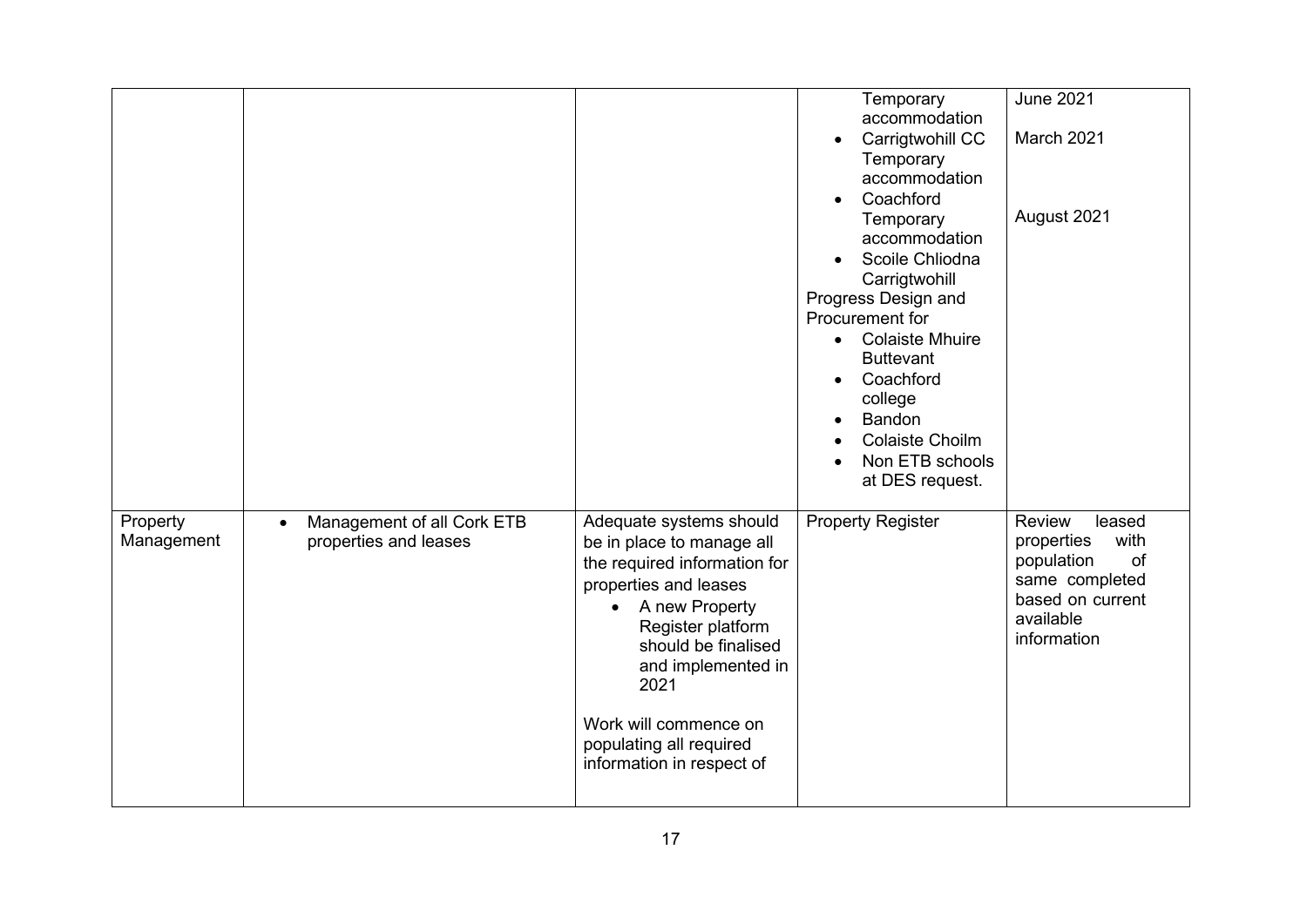|                        |                                                                  |                                                                                                                                                                                                                                                                                            | Temporary<br>accommodation<br>Carrigtwohill CC<br>Temporary<br>accommodation<br>Coachford<br>Temporary<br>accommodation<br>Scoile Chliodna<br>Carrigtwohill<br>Progress Design and<br>Procurement for<br><b>Colaiste Mhuire</b><br>$\bullet$<br><b>Buttevant</b><br>Coachford<br>college<br>Bandon<br><b>Colaiste Choilm</b><br>Non ETB schools<br>at DES request. | <b>June 2021</b><br>March 2021<br>August 2021                                                                                |
|------------------------|------------------------------------------------------------------|--------------------------------------------------------------------------------------------------------------------------------------------------------------------------------------------------------------------------------------------------------------------------------------------|--------------------------------------------------------------------------------------------------------------------------------------------------------------------------------------------------------------------------------------------------------------------------------------------------------------------------------------------------------------------|------------------------------------------------------------------------------------------------------------------------------|
| Property<br>Management | Management of all Cork ETB<br>$\bullet$<br>properties and leases | Adequate systems should<br>be in place to manage all<br>the required information for<br>properties and leases<br>A new Property<br>Register platform<br>should be finalised<br>and implemented in<br>2021<br>Work will commence on<br>populating all required<br>information in respect of | Property Register                                                                                                                                                                                                                                                                                                                                                  | Review<br>leased<br>with<br>properties<br>population<br>of<br>same completed<br>based on current<br>available<br>information |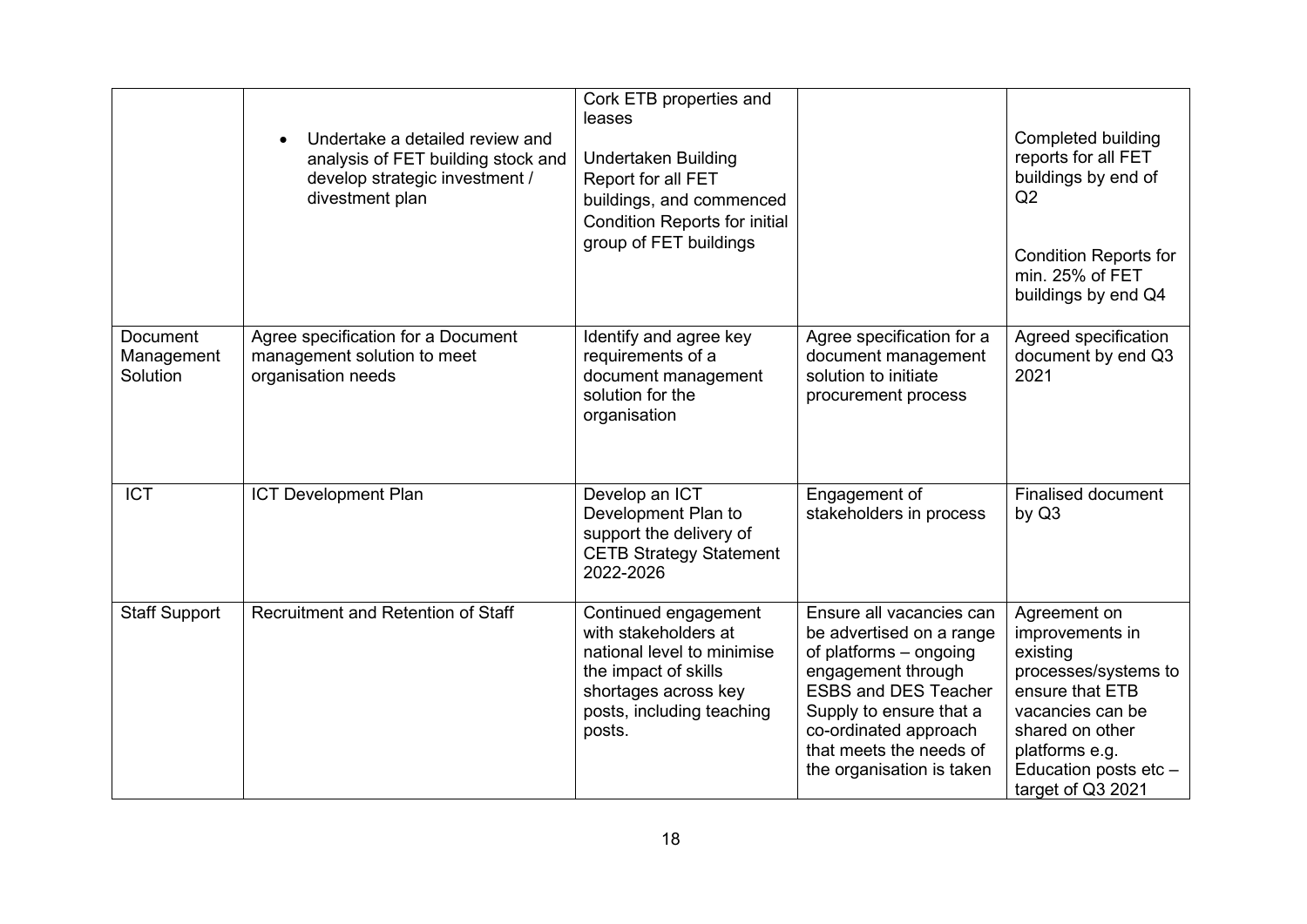|                                           | Undertake a detailed review and<br>analysis of FET building stock and<br>develop strategic investment /<br>divestment plan | Cork ETB properties and<br>leases<br><b>Undertaken Building</b><br>Report for all FET<br>buildings, and commenced<br><b>Condition Reports for initial</b><br>group of FET buildings |                                                                                                                                                                                                                                                 | Completed building<br>reports for all FET<br>buildings by end of<br>Q2<br><b>Condition Reports for</b><br>min. 25% of FET<br>buildings by end Q4                                              |
|-------------------------------------------|----------------------------------------------------------------------------------------------------------------------------|-------------------------------------------------------------------------------------------------------------------------------------------------------------------------------------|-------------------------------------------------------------------------------------------------------------------------------------------------------------------------------------------------------------------------------------------------|-----------------------------------------------------------------------------------------------------------------------------------------------------------------------------------------------|
| <b>Document</b><br>Management<br>Solution | Agree specification for a Document<br>management solution to meet<br>organisation needs                                    | Identify and agree key<br>requirements of a<br>document management<br>solution for the<br>organisation                                                                              | Agree specification for a<br>document management<br>solution to initiate<br>procurement process                                                                                                                                                 | Agreed specification<br>document by end Q3<br>2021                                                                                                                                            |
| <b>ICT</b>                                | <b>ICT Development Plan</b>                                                                                                | Develop an ICT<br>Development Plan to<br>support the delivery of<br><b>CETB Strategy Statement</b><br>2022-2026                                                                     | Engagement of<br>stakeholders in process                                                                                                                                                                                                        | <b>Finalised document</b><br>by Q3                                                                                                                                                            |
| <b>Staff Support</b>                      | Recruitment and Retention of Staff                                                                                         | Continued engagement<br>with stakeholders at<br>national level to minimise<br>the impact of skills<br>shortages across key<br>posts, including teaching<br>posts.                   | Ensure all vacancies can<br>be advertised on a range<br>of platforms - ongoing<br>engagement through<br><b>ESBS and DES Teacher</b><br>Supply to ensure that a<br>co-ordinated approach<br>that meets the needs of<br>the organisation is taken | Agreement on<br>improvements in<br>existing<br>processes/systems to<br>ensure that ETB<br>vacancies can be<br>shared on other<br>platforms e.g.<br>Education posts etc -<br>target of Q3 2021 |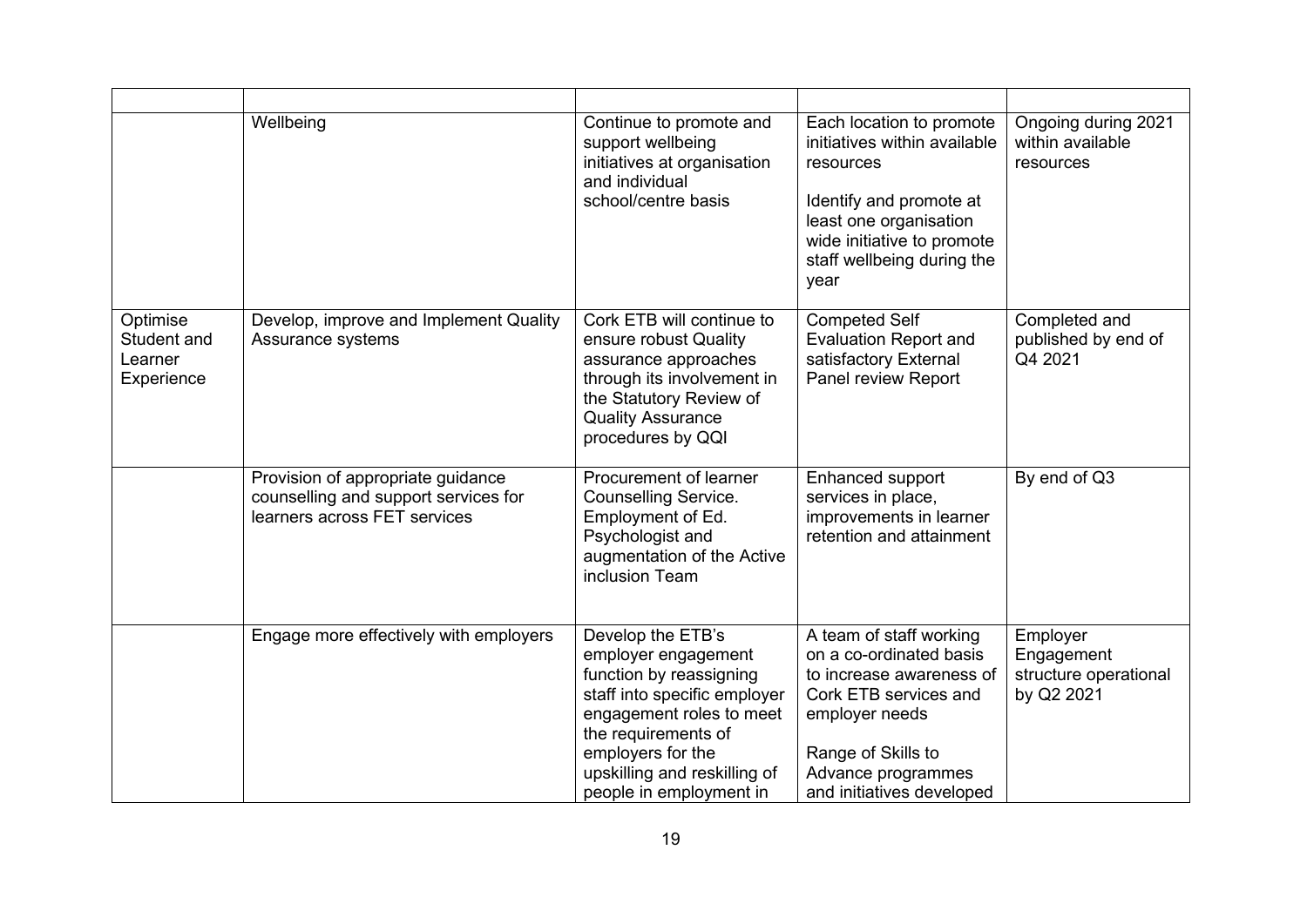|                                                  | Wellbeing                                                                                                 | Continue to promote and<br>support wellbeing<br>initiatives at organisation<br>and individual<br>school/centre basis                                                                                                                   | Each location to promote<br>initiatives within available<br>resources<br>Identify and promote at<br>least one organisation<br>wide initiative to promote<br>staff wellbeing during the<br>year     | Ongoing during 2021<br>within available<br>resources          |
|--------------------------------------------------|-----------------------------------------------------------------------------------------------------------|----------------------------------------------------------------------------------------------------------------------------------------------------------------------------------------------------------------------------------------|----------------------------------------------------------------------------------------------------------------------------------------------------------------------------------------------------|---------------------------------------------------------------|
| Optimise<br>Student and<br>Learner<br>Experience | Develop, improve and Implement Quality<br>Assurance systems                                               | Cork ETB will continue to<br>ensure robust Quality<br>assurance approaches<br>through its involvement in<br>the Statutory Review of<br><b>Quality Assurance</b><br>procedures by QQI                                                   | <b>Competed Self</b><br><b>Evaluation Report and</b><br>satisfactory External<br>Panel review Report                                                                                               | Completed and<br>published by end of<br>Q4 2021               |
|                                                  | Provision of appropriate guidance<br>counselling and support services for<br>learners across FET services | Procurement of learner<br><b>Counselling Service.</b><br>Employment of Ed.<br>Psychologist and<br>augmentation of the Active<br>inclusion Team                                                                                         | Enhanced support<br>services in place,<br>improvements in learner<br>retention and attainment                                                                                                      | By end of Q3                                                  |
|                                                  | Engage more effectively with employers                                                                    | Develop the ETB's<br>employer engagement<br>function by reassigning<br>staff into specific employer<br>engagement roles to meet<br>the requirements of<br>employers for the<br>upskilling and reskilling of<br>people in employment in | A team of staff working<br>on a co-ordinated basis<br>to increase awareness of<br>Cork ETB services and<br>employer needs<br>Range of Skills to<br>Advance programmes<br>and initiatives developed | Employer<br>Engagement<br>structure operational<br>by Q2 2021 |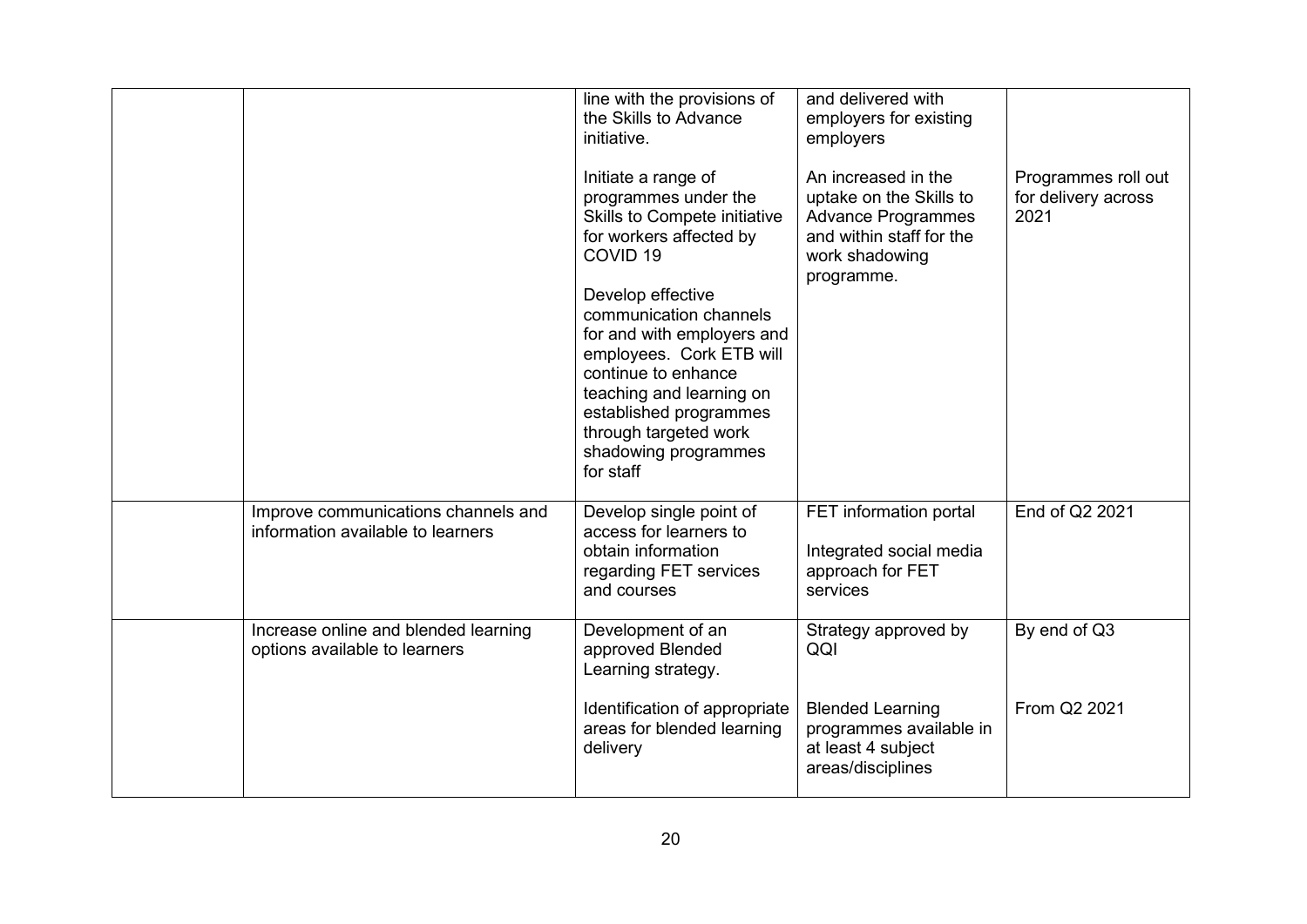|                                                                          | line with the provisions of<br>the Skills to Advance<br>initiative.<br>Initiate a range of<br>programmes under the<br>Skills to Compete initiative<br>for workers affected by<br>COVID <sub>19</sub><br>Develop effective<br>communication channels<br>for and with employers and<br>employees. Cork ETB will<br>continue to enhance<br>teaching and learning on<br>established programmes<br>through targeted work<br>shadowing programmes<br>for staff | and delivered with<br>employers for existing<br>employers<br>An increased in the<br>uptake on the Skills to<br><b>Advance Programmes</b><br>and within staff for the<br>work shadowing<br>programme. | Programmes roll out<br>for delivery across<br>2021 |
|--------------------------------------------------------------------------|----------------------------------------------------------------------------------------------------------------------------------------------------------------------------------------------------------------------------------------------------------------------------------------------------------------------------------------------------------------------------------------------------------------------------------------------------------|------------------------------------------------------------------------------------------------------------------------------------------------------------------------------------------------------|----------------------------------------------------|
| Improve communications channels and<br>information available to learners | Develop single point of<br>access for learners to<br>obtain information<br>regarding FET services<br>and courses                                                                                                                                                                                                                                                                                                                                         | FET information portal<br>Integrated social media<br>approach for FET<br>services                                                                                                                    | End of Q2 2021                                     |
| Increase online and blended learning<br>options available to learners    | Development of an<br>approved Blended<br>Learning strategy.                                                                                                                                                                                                                                                                                                                                                                                              | Strategy approved by<br>QQI                                                                                                                                                                          | By end of Q3                                       |
|                                                                          | Identification of appropriate<br>areas for blended learning<br>delivery                                                                                                                                                                                                                                                                                                                                                                                  | <b>Blended Learning</b><br>programmes available in<br>at least 4 subject<br>areas/disciplines                                                                                                        | From Q2 2021                                       |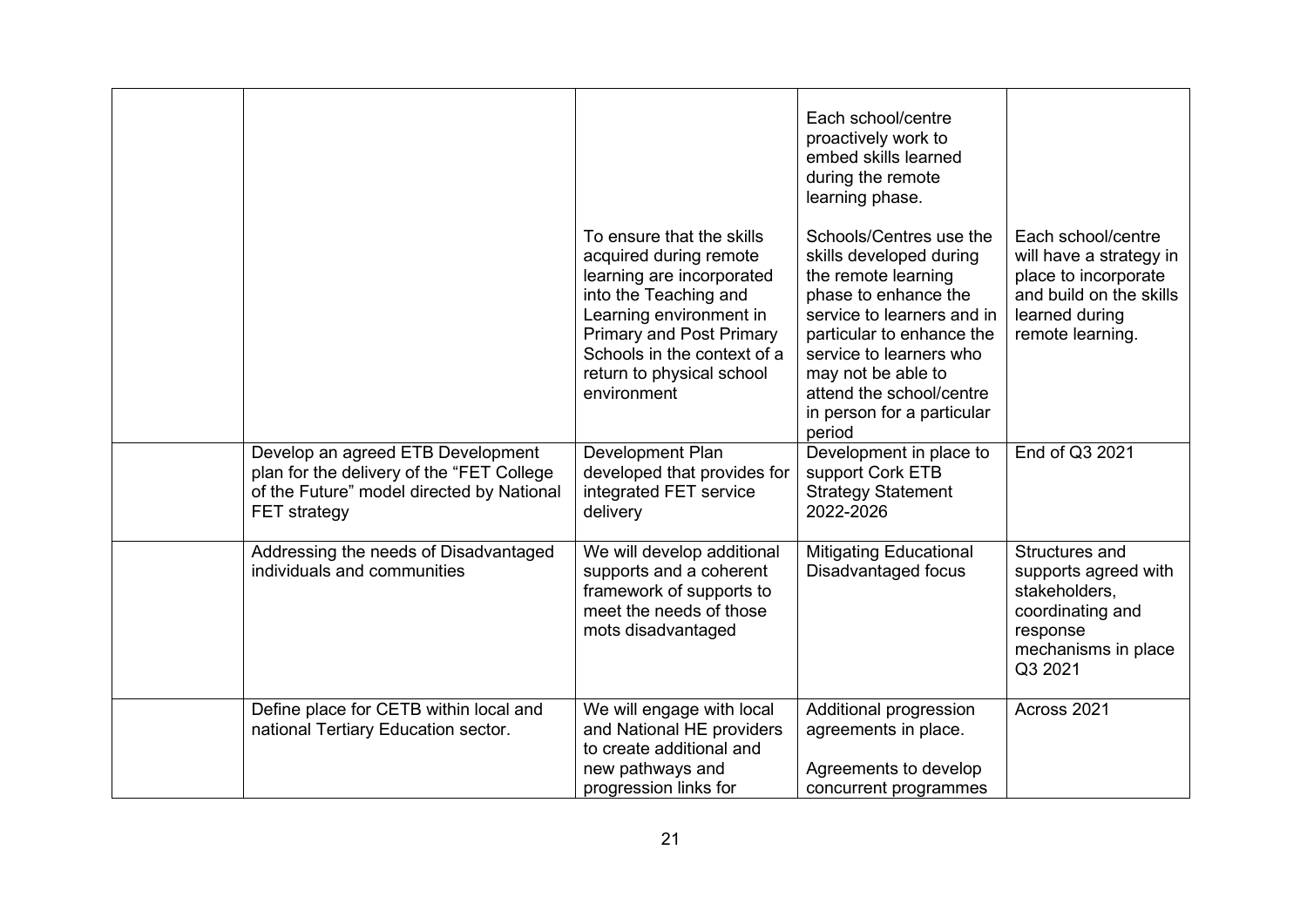|                                                                                                                                                    |                                                                                                                                                                                                                                                    | Each school/centre<br>proactively work to<br>embed skills learned<br>during the remote<br>learning phase.                                                                                                                                                                         |                                                                                                                                        |
|----------------------------------------------------------------------------------------------------------------------------------------------------|----------------------------------------------------------------------------------------------------------------------------------------------------------------------------------------------------------------------------------------------------|-----------------------------------------------------------------------------------------------------------------------------------------------------------------------------------------------------------------------------------------------------------------------------------|----------------------------------------------------------------------------------------------------------------------------------------|
|                                                                                                                                                    | To ensure that the skills<br>acquired during remote<br>learning are incorporated<br>into the Teaching and<br>Learning environment in<br><b>Primary and Post Primary</b><br>Schools in the context of a<br>return to physical school<br>environment | Schools/Centres use the<br>skills developed during<br>the remote learning<br>phase to enhance the<br>service to learners and in<br>particular to enhance the<br>service to learners who<br>may not be able to<br>attend the school/centre<br>in person for a particular<br>period | Each school/centre<br>will have a strategy in<br>place to incorporate<br>and build on the skills<br>learned during<br>remote learning. |
| Develop an agreed ETB Development<br>plan for the delivery of the "FET College<br>of the Future" model directed by National<br><b>FET</b> strategy | Development Plan<br>developed that provides for<br>integrated FET service<br>delivery                                                                                                                                                              | Development in place to<br>support Cork ETB<br><b>Strategy Statement</b><br>2022-2026                                                                                                                                                                                             | End of Q3 2021                                                                                                                         |
| Addressing the needs of Disadvantaged<br>individuals and communities                                                                               | We will develop additional<br>supports and a coherent<br>framework of supports to<br>meet the needs of those<br>mots disadvantaged                                                                                                                 | <b>Mitigating Educational</b><br>Disadvantaged focus                                                                                                                                                                                                                              | Structures and<br>supports agreed with<br>stakeholders,<br>coordinating and<br>response<br>mechanisms in place<br>Q3 2021              |
| Define place for CETB within local and<br>national Tertiary Education sector.                                                                      | We will engage with local<br>and National HE providers<br>to create additional and<br>new pathways and<br>progression links for                                                                                                                    | Additional progression<br>agreements in place.<br>Agreements to develop<br>concurrent programmes                                                                                                                                                                                  | Across 2021                                                                                                                            |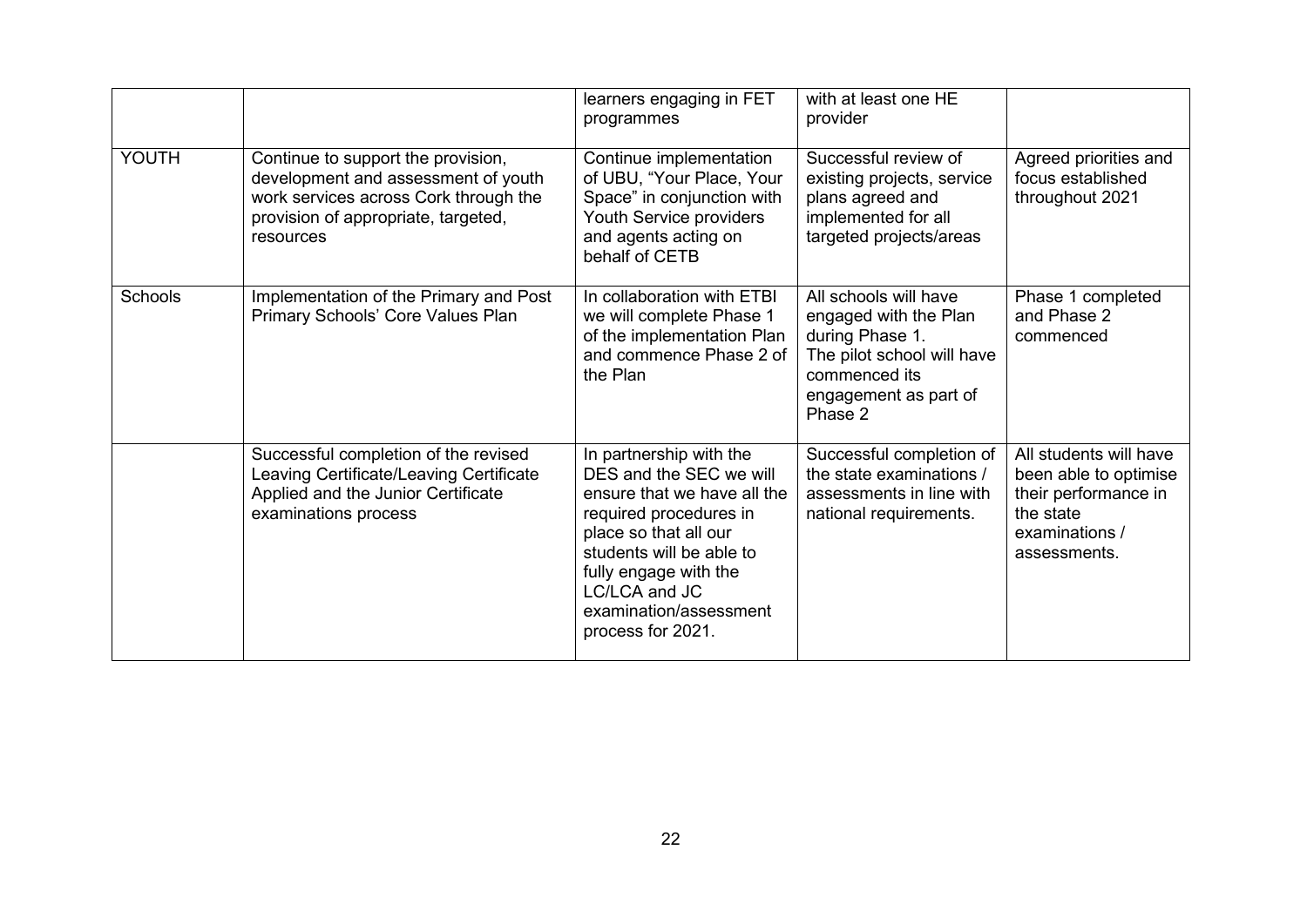|         |                                                                                                                                                                        | learners engaging in FET<br>programmes                                                                                                                                                                                                                    | with at least one HE<br>provider                                                                                                                     |                                                                                                                        |
|---------|------------------------------------------------------------------------------------------------------------------------------------------------------------------------|-----------------------------------------------------------------------------------------------------------------------------------------------------------------------------------------------------------------------------------------------------------|------------------------------------------------------------------------------------------------------------------------------------------------------|------------------------------------------------------------------------------------------------------------------------|
| YOUTH   | Continue to support the provision,<br>development and assessment of youth<br>work services across Cork through the<br>provision of appropriate, targeted,<br>resources | Continue implementation<br>of UBU, "Your Place, Your<br>Space" in conjunction with<br>Youth Service providers<br>and agents acting on<br>behalf of CETB                                                                                                   | Successful review of<br>existing projects, service<br>plans agreed and<br>implemented for all<br>targeted projects/areas                             | Agreed priorities and<br>focus established<br>throughout 2021                                                          |
| Schools | Implementation of the Primary and Post<br>Primary Schools' Core Values Plan                                                                                            | In collaboration with ETBI<br>we will complete Phase 1<br>of the implementation Plan<br>and commence Phase 2 of<br>the Plan                                                                                                                               | All schools will have<br>engaged with the Plan<br>during Phase 1.<br>The pilot school will have<br>commenced its<br>engagement as part of<br>Phase 2 | Phase 1 completed<br>and Phase 2<br>commenced                                                                          |
|         | Successful completion of the revised<br>Leaving Certificate/Leaving Certificate<br>Applied and the Junior Certificate<br>examinations process                          | In partnership with the<br>DES and the SEC we will<br>ensure that we have all the<br>required procedures in<br>place so that all our<br>students will be able to<br>fully engage with the<br>LC/LCA and JC<br>examination/assessment<br>process for 2021. | Successful completion of<br>the state examinations /<br>assessments in line with<br>national requirements.                                           | All students will have<br>been able to optimise<br>their performance in<br>the state<br>examinations /<br>assessments. |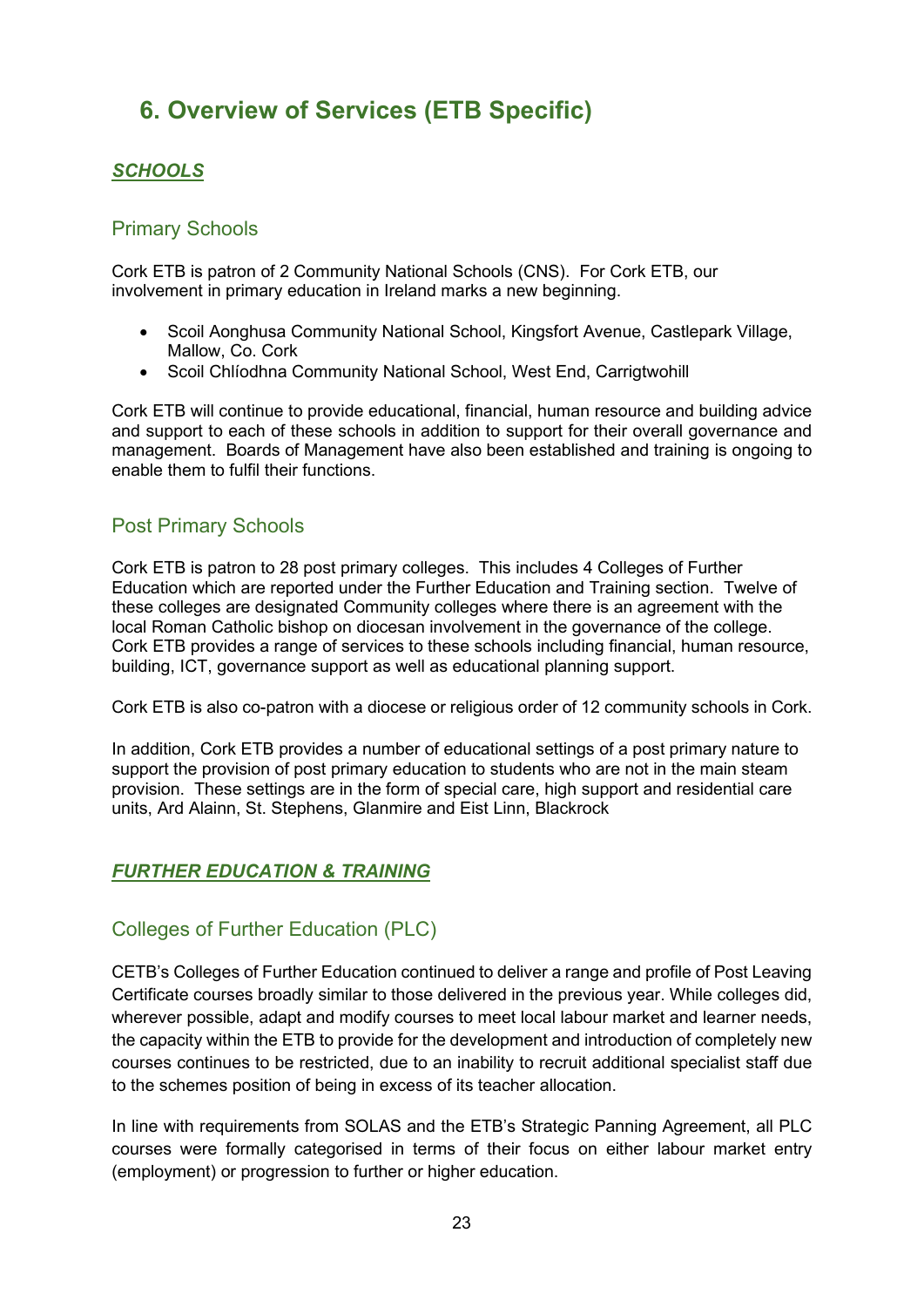## <span id="page-22-0"></span>**6. Overview of Services (ETB Specific)**

#### <span id="page-22-1"></span>*SCHOOLS*

#### <span id="page-22-2"></span>Primary Schools

Cork ETB is patron of 2 Community National Schools (CNS). For Cork ETB, our involvement in primary education in Ireland marks a new beginning.

- Scoil Aonghusa Community National School, Kingsfort Avenue, Castlepark Village, Mallow, Co. Cork
- Scoil Chlíodhna Community National School, West End, Carrigtwohill

Cork ETB will continue to provide educational, financial, human resource and building advice and support to each of these schools in addition to support for their overall governance and management. Boards of Management have also been established and training is ongoing to enable them to fulfil their functions.

#### <span id="page-22-3"></span>Post Primary Schools

Cork ETB is patron to 28 post primary colleges. This includes 4 Colleges of Further Education which are reported under the Further Education and Training section. Twelve of these colleges are designated Community colleges where there is an agreement with the local Roman Catholic bishop on diocesan involvement in the governance of the college. Cork ETB provides a range of services to these schools including financial, human resource, building, ICT, governance support as well as educational planning support.

Cork ETB is also co-patron with a diocese or religious order of 12 community schools in Cork.

In addition, Cork ETB provides a number of educational settings of a post primary nature to support the provision of post primary education to students who are not in the main steam provision. These settings are in the form of special care, high support and residential care units, Ard Alainn, St. Stephens, Glanmire and Eist Linn, Blackrock

#### <span id="page-22-4"></span>*FURTHER EDUCATION & TRAINING*

#### <span id="page-22-5"></span>Colleges of Further Education (PLC)

CETB's Colleges of Further Education continued to deliver a range and profile of Post Leaving Certificate courses broadly similar to those delivered in the previous year. While colleges did, wherever possible, adapt and modify courses to meet local labour market and learner needs, the capacity within the ETB to provide for the development and introduction of completely new courses continues to be restricted, due to an inability to recruit additional specialist staff due to the schemes position of being in excess of its teacher allocation.

In line with requirements from SOLAS and the ETB's Strategic Panning Agreement, all PLC courses were formally categorised in terms of their focus on either labour market entry (employment) or progression to further or higher education.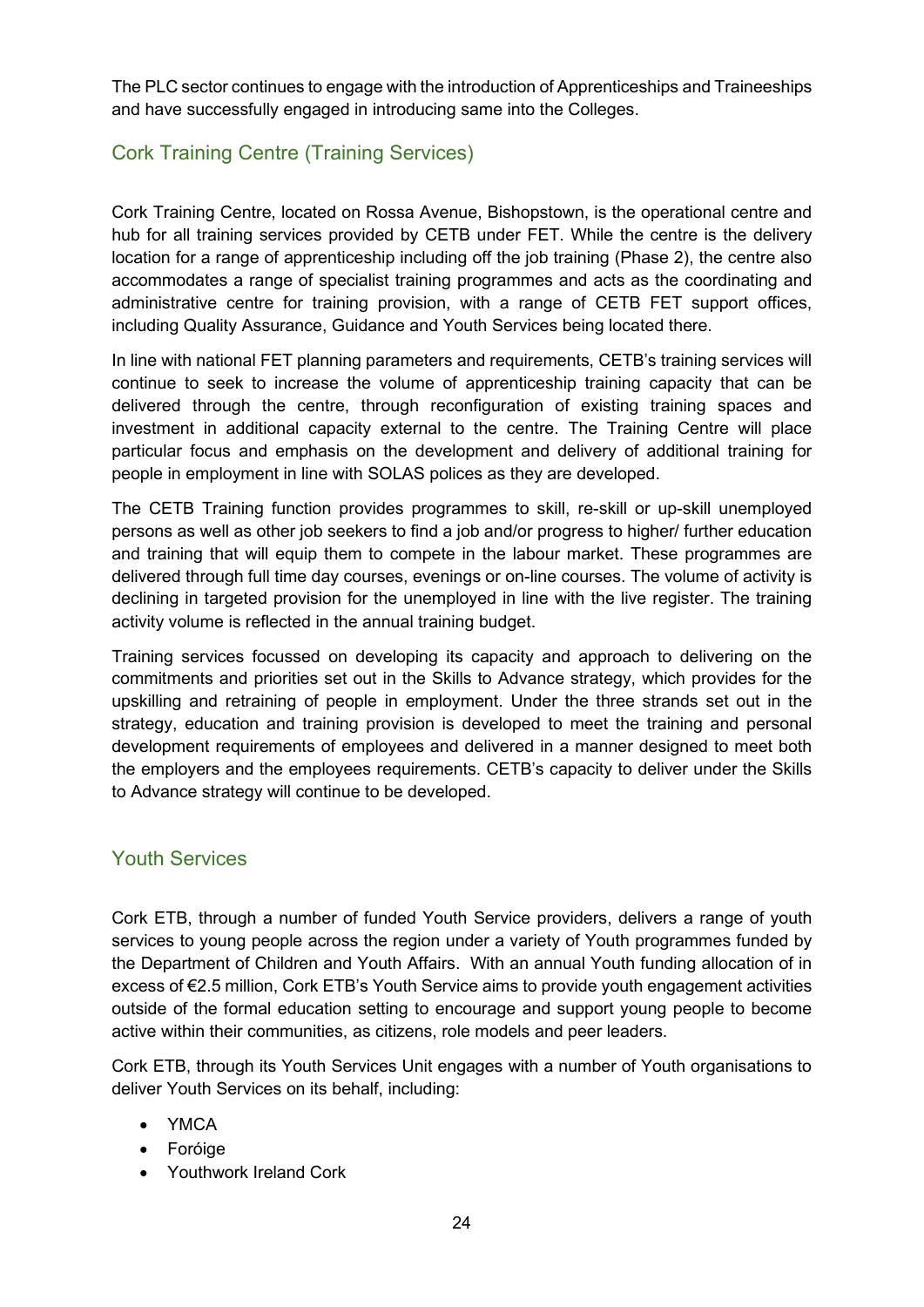The PLC sector continues to engage with the introduction of Apprenticeships and Traineeships and have successfully engaged in introducing same into the Colleges.

### <span id="page-23-0"></span>Cork Training Centre (Training Services)

Cork Training Centre, located on Rossa Avenue, Bishopstown, is the operational centre and hub for all training services provided by CETB under FET. While the centre is the delivery location for a range of apprenticeship including off the job training (Phase 2), the centre also accommodates a range of specialist training programmes and acts as the coordinating and administrative centre for training provision, with a range of CETB FET support offices, including Quality Assurance, Guidance and Youth Services being located there.

In line with national FET planning parameters and requirements, CETB's training services will continue to seek to increase the volume of apprenticeship training capacity that can be delivered through the centre, through reconfiguration of existing training spaces and investment in additional capacity external to the centre. The Training Centre will place particular focus and emphasis on the development and delivery of additional training for people in employment in line with SOLAS polices as they are developed.

The CETB Training function provides programmes to skill, re-skill or up-skill unemployed persons as well as other job seekers to find a job and/or progress to higher/ further education and training that will equip them to compete in the labour market. These programmes are delivered through full time day courses, evenings or on-line courses. The volume of activity is declining in targeted provision for the unemployed in line with the live register. The training activity volume is reflected in the annual training budget.

Training services focussed on developing its capacity and approach to delivering on the commitments and priorities set out in the Skills to Advance strategy, which provides for the upskilling and retraining of people in employment. Under the three strands set out in the strategy, education and training provision is developed to meet the training and personal development requirements of employees and delivered in a manner designed to meet both the employers and the employees requirements. CETB's capacity to deliver under the Skills to Advance strategy will continue to be developed.

#### <span id="page-23-1"></span>Youth Services

Cork ETB, through a number of funded Youth Service providers, delivers a range of youth services to young people across the region under a variety of Youth programmes funded by the Department of Children and Youth Affairs. With an annual Youth funding allocation of in excess of €2.5 million, Cork ETB's Youth Service aims to provide youth engagement activities outside of the formal education setting to encourage and support young people to become active within their communities, as citizens, role models and peer leaders.

Cork ETB, through its Youth Services Unit engages with a number of Youth organisations to deliver Youth Services on its behalf, including:

- YMCA
- Foróige
- Youthwork Ireland Cork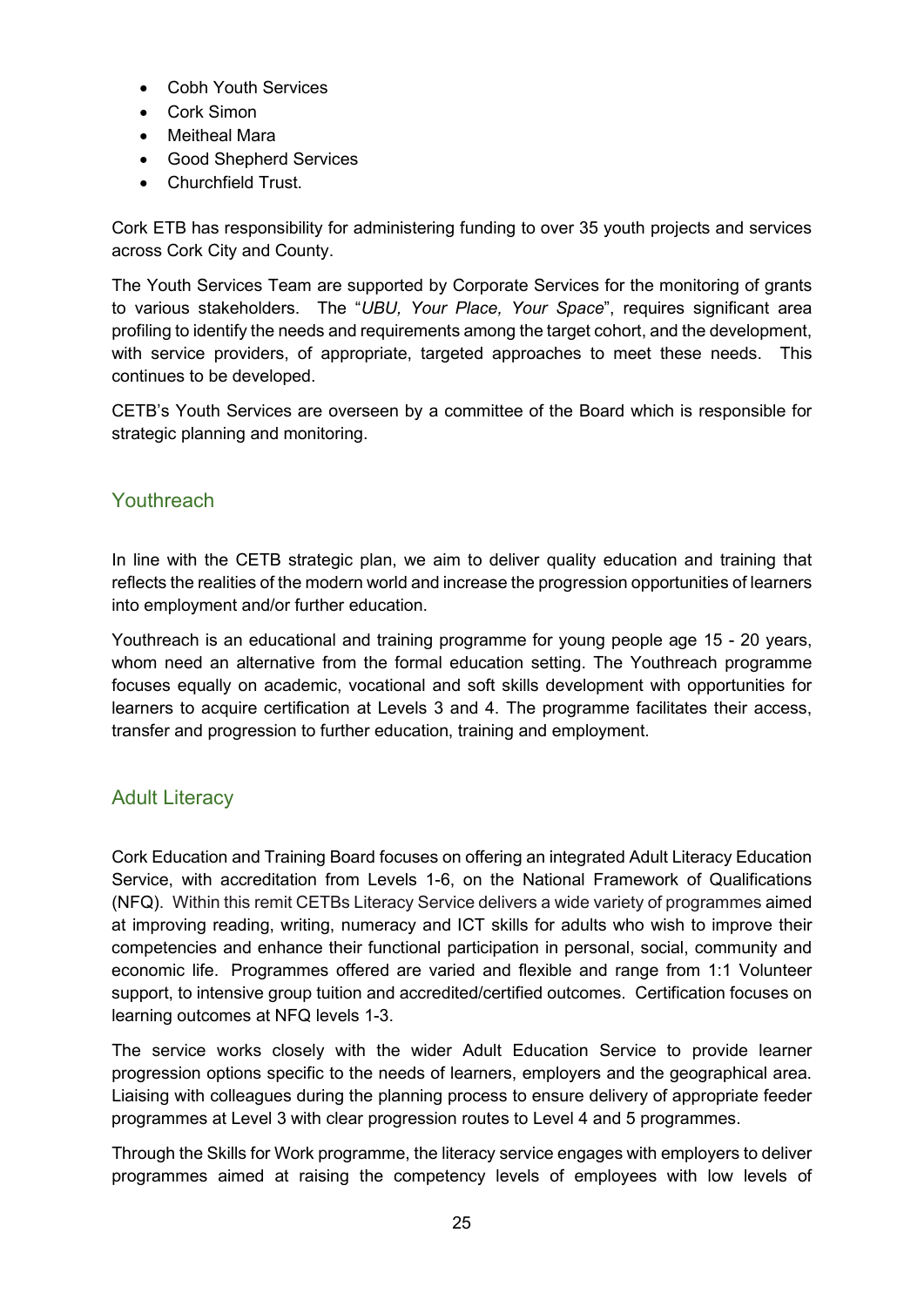- Cobh Youth Services
- Cork Simon
- Meitheal Mara
- Good Shepherd Services
- Churchfield Trust.

Cork ETB has responsibility for administering funding to over 35 youth projects and services across Cork City and County.

The Youth Services Team are supported by Corporate Services for the monitoring of grants to various stakeholders. The "*UBU, Your Place, Your Space*", requires significant area profiling to identify the needs and requirements among the target cohort, and the development, with service providers, of appropriate, targeted approaches to meet these needs. This continues to be developed.

CETB's Youth Services are overseen by a committee of the Board which is responsible for strategic planning and monitoring.

#### <span id="page-24-0"></span>**Youthreach**

In line with the CETB strategic plan, we aim to deliver quality education and training that reflects the realities of the modern world and increase the progression opportunities of learners into employment and/or further education.

Youthreach is an educational and training programme for young people age 15 - 20 years, whom need an alternative from the formal education setting. The Youthreach programme focuses equally on academic, vocational and soft skills development with opportunities for learners to acquire certification at Levels 3 and 4. The programme facilitates their access, transfer and progression to further education, training and employment.

#### <span id="page-24-1"></span>Adult Literacy

Cork Education and Training Board focuses on offering an integrated Adult Literacy Education Service, with accreditation from Levels 1-6, on the National Framework of Qualifications (NFQ). Within this remit CETBs Literacy Service delivers a wide variety of programmes aimed at improving reading, writing, numeracy and ICT skills for adults who wish to improve their competencies and enhance their functional participation in personal, social, community and economic life. Programmes offered are varied and flexible and range from 1:1 Volunteer support, to intensive group tuition and accredited/certified outcomes. Certification focuses on learning outcomes at NFQ levels 1-3.

The service works closely with the wider Adult Education Service to provide learner progression options specific to the needs of learners, employers and the geographical area. Liaising with colleagues during the planning process to ensure delivery of appropriate feeder programmes at Level 3 with clear progression routes to Level 4 and 5 programmes.

Through the Skills for Work programme, the literacy service engages with employers to deliver programmes aimed at raising the competency levels of employees with low levels of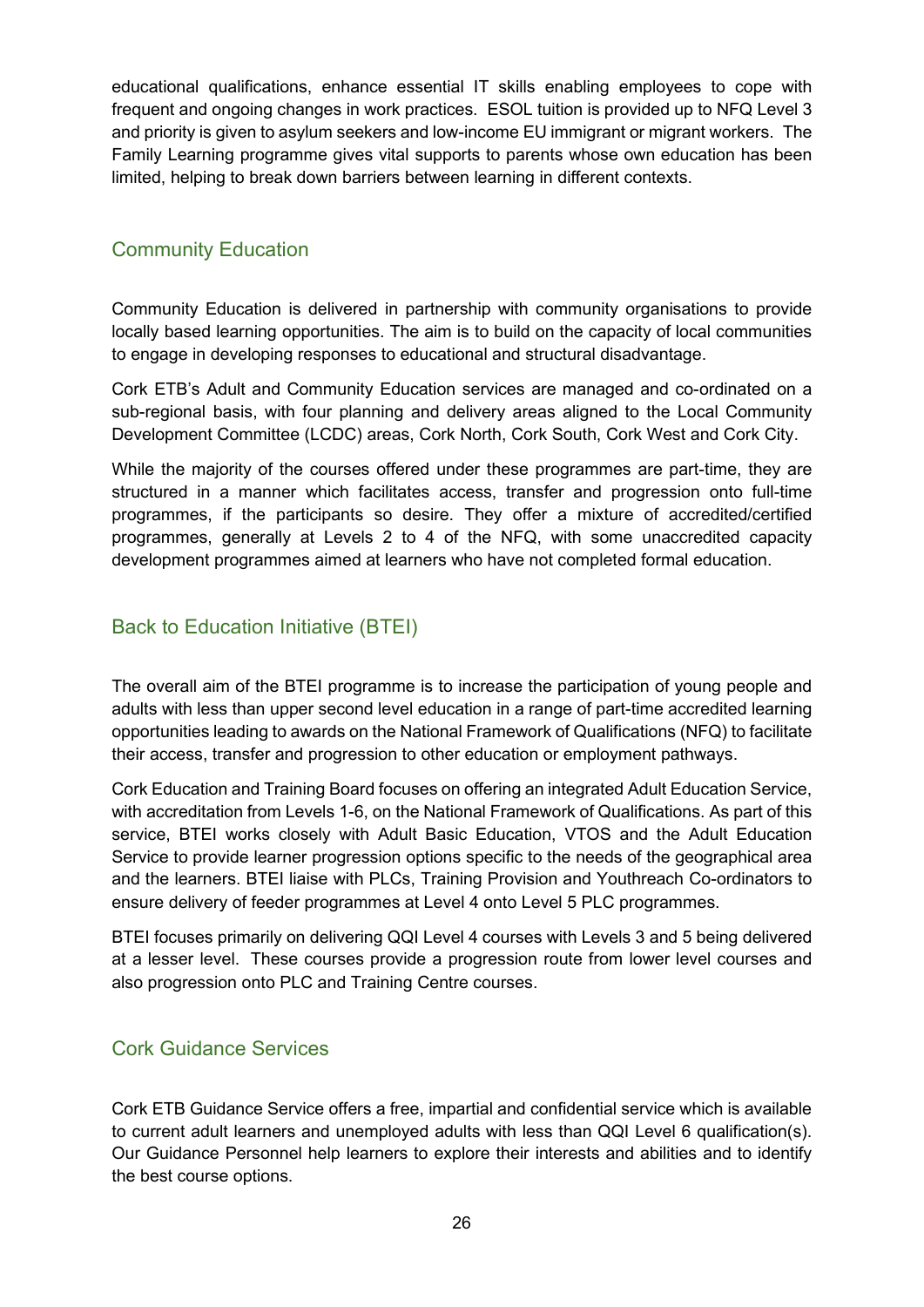educational qualifications, enhance essential IT skills enabling employees to cope with frequent and ongoing changes in work practices. ESOL tuition is provided up to NFQ Level 3 and priority is given to asylum seekers and low-income EU immigrant or migrant workers. The Family Learning programme gives vital supports to parents whose own education has been limited, helping to break down barriers between learning in different contexts.

#### <span id="page-25-0"></span>Community Education

Community Education is delivered in partnership with community organisations to provide locally based learning opportunities. The aim is to build on the capacity of local communities to engage in developing responses to educational and structural disadvantage.

Cork ETB's Adult and Community Education services are managed and co-ordinated on a sub-regional basis, with four planning and delivery areas aligned to the Local Community Development Committee (LCDC) areas, Cork North, Cork South, Cork West and Cork City.

While the majority of the courses offered under these programmes are part-time, they are structured in a manner which facilitates access, transfer and progression onto full-time programmes, if the participants so desire. They offer a mixture of accredited/certified programmes, generally at Levels 2 to 4 of the NFQ, with some unaccredited capacity development programmes aimed at learners who have not completed formal education.

#### <span id="page-25-1"></span>Back to Education Initiative (BTEI)

The overall aim of the BTEI programme is to increase the participation of young people and adults with less than upper second level education in a range of part-time accredited learning opportunities leading to awards on the National Framework of Qualifications (NFQ) to facilitate their access, transfer and progression to other education or employment pathways.

Cork Education and Training Board focuses on offering an integrated Adult Education Service, with accreditation from Levels 1-6, on the National Framework of Qualifications. As part of this service, BTEI works closely with Adult Basic Education, VTOS and the Adult Education Service to provide learner progression options specific to the needs of the geographical area and the learners. BTEI liaise with PLCs, Training Provision and Youthreach Co-ordinators to ensure delivery of feeder programmes at Level 4 onto Level 5 PLC programmes.

BTEI focuses primarily on delivering QQI Level 4 courses with Levels 3 and 5 being delivered at a lesser level. These courses provide a progression route from lower level courses and also progression onto PLC and Training Centre courses.

#### <span id="page-25-2"></span>Cork Guidance Services

Cork ETB Guidance Service offers a free, impartial and confidential service which is available to current adult learners and unemployed adults with less than QQI Level 6 qualification(s). Our Guidance Personnel help learners to explore their interests and abilities and to identify the best course options.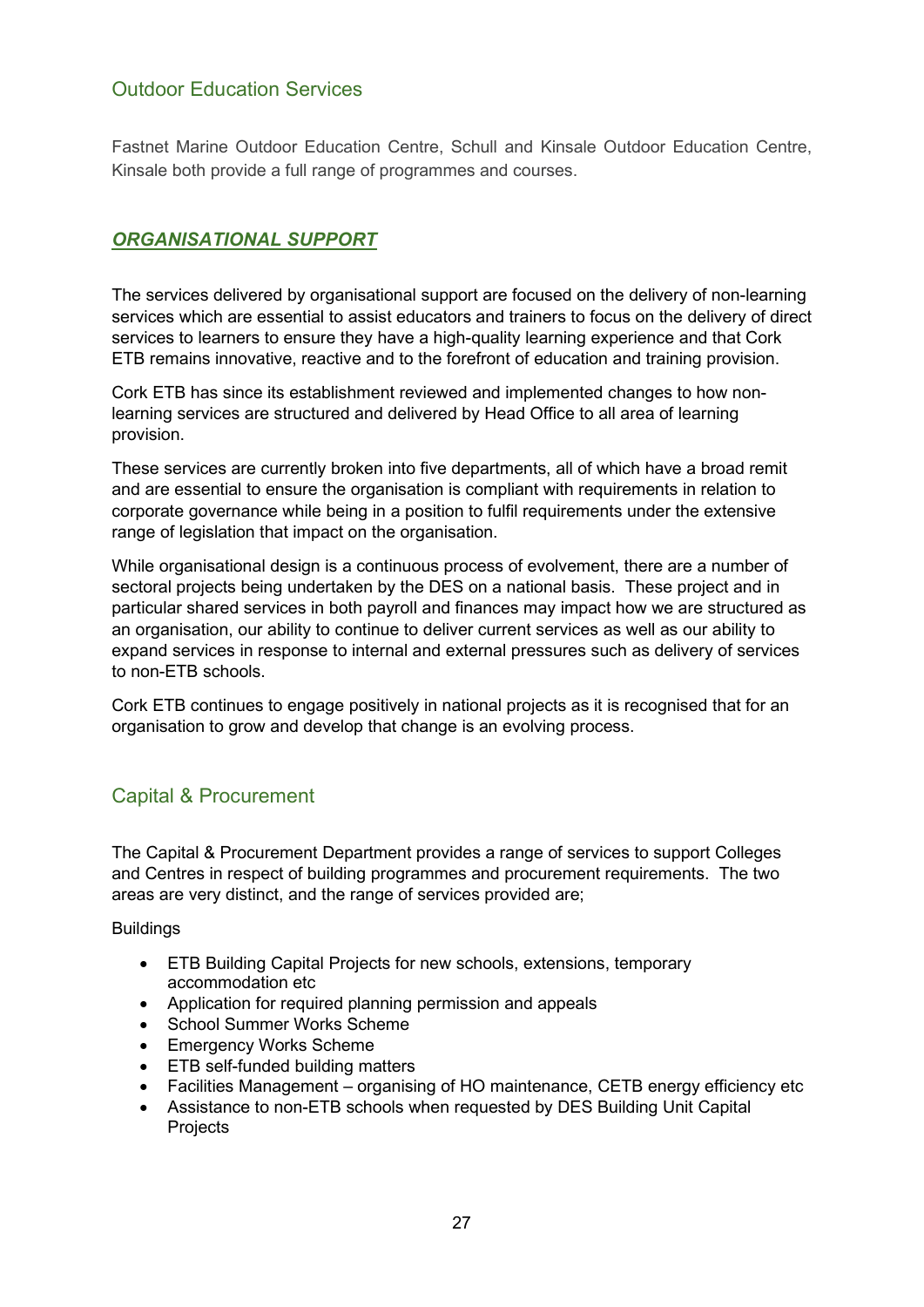#### <span id="page-26-0"></span>Outdoor Education Services

Fastnet Marine Outdoor Education Centre, Schull and Kinsale Outdoor Education Centre, Kinsale both provide a full range of programmes and courses.

#### <span id="page-26-1"></span>*ORGANISATIONAL SUPPORT*

The services delivered by organisational support are focused on the delivery of non-learning services which are essential to assist educators and trainers to focus on the delivery of direct services to learners to ensure they have a high-quality learning experience and that Cork ETB remains innovative, reactive and to the forefront of education and training provision.

Cork ETB has since its establishment reviewed and implemented changes to how nonlearning services are structured and delivered by Head Office to all area of learning provision.

These services are currently broken into five departments, all of which have a broad remit and are essential to ensure the organisation is compliant with requirements in relation to corporate governance while being in a position to fulfil requirements under the extensive range of legislation that impact on the organisation.

While organisational design is a continuous process of evolvement, there are a number of sectoral projects being undertaken by the DES on a national basis. These project and in particular shared services in both payroll and finances may impact how we are structured as an organisation, our ability to continue to deliver current services as well as our ability to expand services in response to internal and external pressures such as delivery of services to non-ETB schools.

Cork ETB continues to engage positively in national projects as it is recognised that for an organisation to grow and develop that change is an evolving process.

#### <span id="page-26-2"></span>Capital & Procurement

The Capital & Procurement Department provides a range of services to support Colleges and Centres in respect of building programmes and procurement requirements. The two areas are very distinct, and the range of services provided are;

**Buildings** 

- ETB Building Capital Projects for new schools, extensions, temporary accommodation etc
- Application for required planning permission and appeals
- School Summer Works Scheme
- Emergency Works Scheme
- ETB self-funded building matters
- Facilities Management organising of HO maintenance, CETB energy efficiency etc
- Assistance to non-ETB schools when requested by DES Building Unit Capital Projects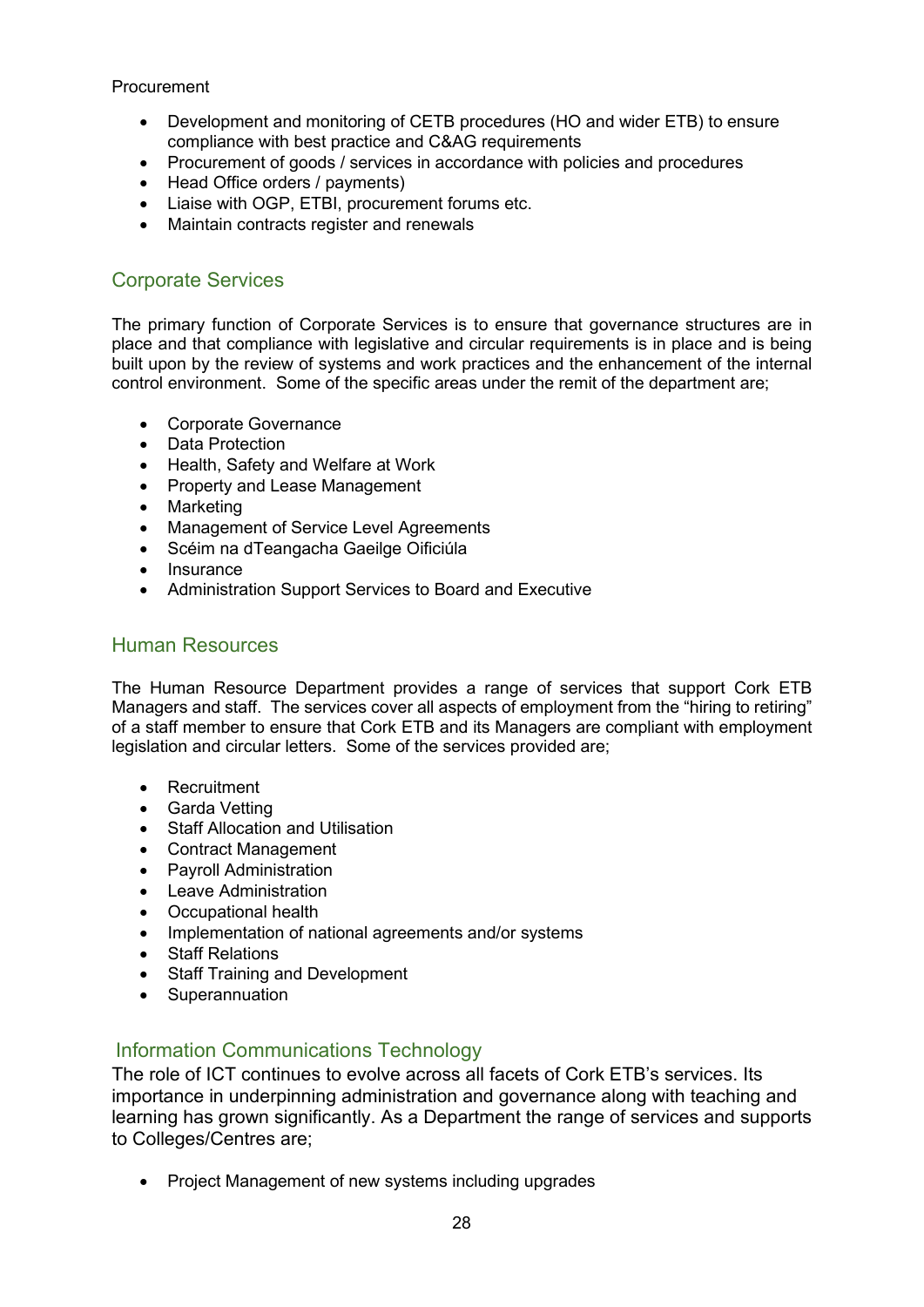#### Procurement

- Development and monitoring of CETB procedures (HO and wider ETB) to ensure compliance with best practice and C&AG requirements
- Procurement of goods / services in accordance with policies and procedures
- Head Office orders / payments)
- Liaise with OGP, ETBI, procurement forums etc.
- Maintain contracts register and renewals

#### <span id="page-27-0"></span>Corporate Services

The primary function of Corporate Services is to ensure that governance structures are in place and that compliance with legislative and circular requirements is in place and is being built upon by the review of systems and work practices and the enhancement of the internal control environment. Some of the specific areas under the remit of the department are;

- Corporate Governance
- Data Protection
- Health, Safety and Welfare at Work
- Property and Lease Management
- Marketing
- Management of Service Level Agreements
- Scéim na dTeangacha Gaeilge Oificiúla
- Insurance
- Administration Support Services to Board and Executive

#### <span id="page-27-1"></span>Human Resources

The Human Resource Department provides a range of services that support Cork ETB Managers and staff. The services cover all aspects of employment from the "hiring to retiring" of a staff member to ensure that Cork ETB and its Managers are compliant with employment legislation and circular letters. Some of the services provided are;

- Recruitment
- Garda Vetting
- Staff Allocation and Utilisation
- Contract Management
- Payroll Administration
- Leave Administration
- Occupational health
- Implementation of national agreements and/or systems
- Staff Relations
- Staff Training and Development
- Superannuation

#### <span id="page-27-2"></span>Information Communications Technology

The role of ICT continues to evolve across all facets of Cork ETB's services. Its importance in underpinning administration and governance along with teaching and learning has grown significantly. As a Department the range of services and supports to Colleges/Centres are;

• Project Management of new systems including upgrades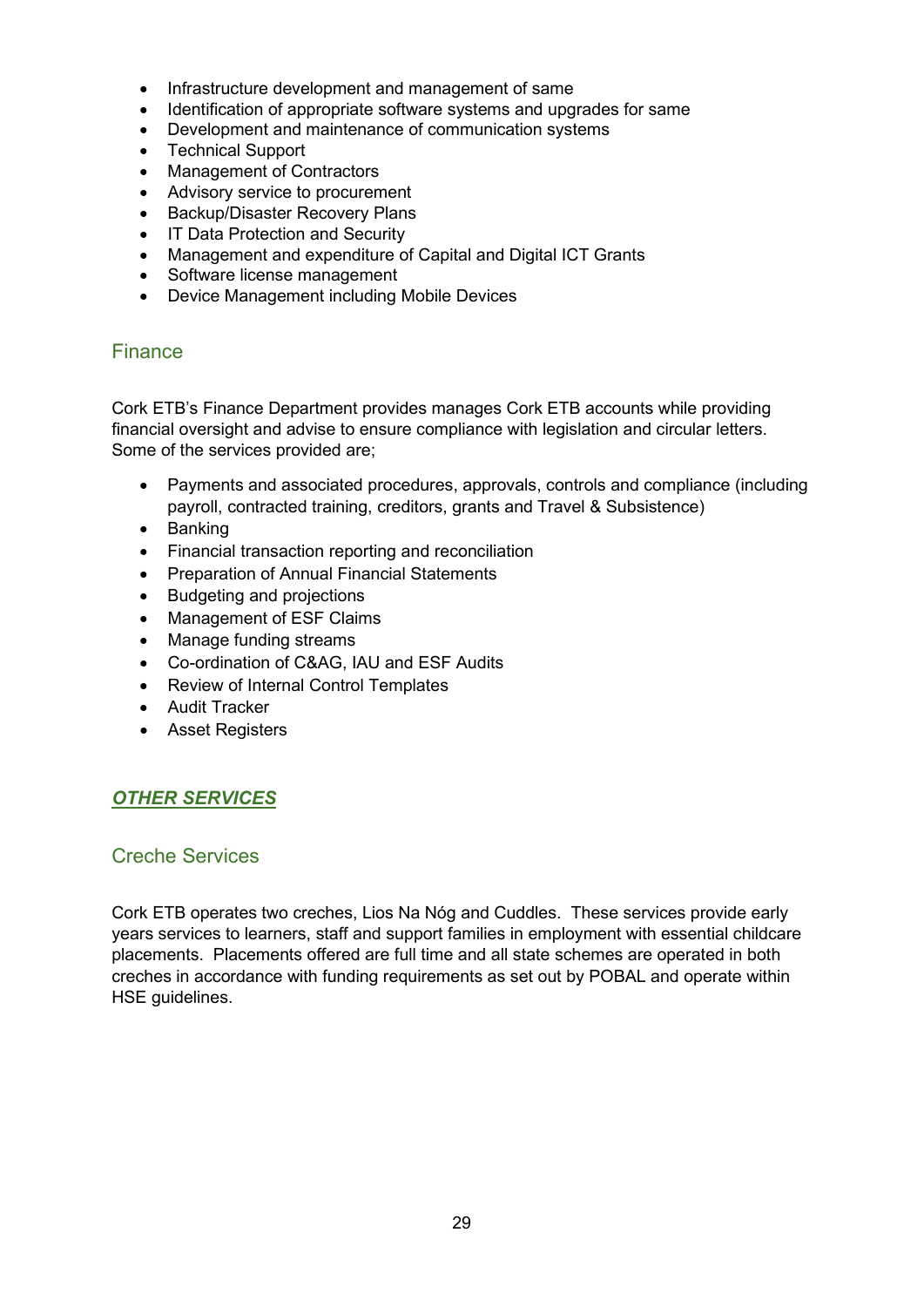- Infrastructure development and management of same
- Identification of appropriate software systems and upgrades for same
- Development and maintenance of communication systems
- Technical Support
- Management of Contractors
- Advisory service to procurement
- Backup/Disaster Recovery Plans
- IT Data Protection and Security
- Management and expenditure of Capital and Digital ICT Grants
- Software license management
- Device Management including Mobile Devices

#### <span id="page-28-0"></span>Finance

Cork ETB's Finance Department provides manages Cork ETB accounts while providing financial oversight and advise to ensure compliance with legislation and circular letters. Some of the services provided are;

- Payments and associated procedures, approvals, controls and compliance (including payroll, contracted training, creditors, grants and Travel & Subsistence)
- Banking
- Financial transaction reporting and reconciliation
- Preparation of Annual Financial Statements
- Budgeting and projections
- Management of ESF Claims
- Manage funding streams
- Co-ordination of C&AG, IAU and ESF Audits
- Review of Internal Control Templates
- Audit Tracker
- Asset Registers

#### <span id="page-28-1"></span>*OTHER SERVICES*

#### <span id="page-28-2"></span>Creche Services

Cork ETB operates two creches, Lios Na Nóg and Cuddles. These services provide early years services to learners, staff and support families in employment with essential childcare placements. Placements offered are full time and all state schemes are operated in both creches in accordance with funding requirements as set out by POBAL and operate within HSE guidelines.